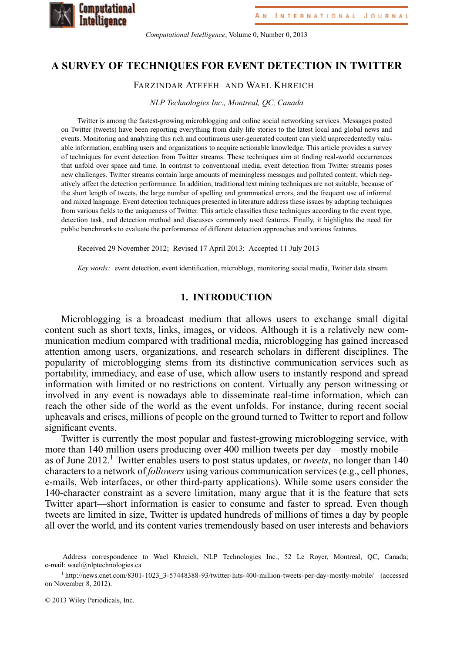

*Computational Intelligence*, Volume 0, Number 0, 2013

# **A SURVEY OF TECHNIQUES FOR EVENT DETECTION IN TWITTER**

FARZINDAR ATEFEH AND WAEL KHREICH

*NLP Technologies Inc., Montreal, QC, Canada*

Twitter is among the fastest-growing microblogging and online social networking services. Messages posted on Twitter (tweets) have been reporting everything from daily life stories to the latest local and global news and events. Monitoring and analyzing this rich and continuous user-generated content can yield unprecedentedly valuable information, enabling users and organizations to acquire actionable knowledge. This article provides a survey of techniques for event detection from Twitter streams. These techniques aim at finding real-world occurrences that unfold over space and time. In contrast to conventional media, event detection from Twitter streams poses new challenges. Twitter streams contain large amounts of meaningless messages and polluted content, which negatively affect the detection performance. In addition, traditional text mining techniques are not suitable, because of the short length of tweets, the large number of spelling and grammatical errors, and the frequent use of informal and mixed language. Event detection techniques presented in literature address these issues by adapting techniques from various fields to the uniqueness of Twitter. This article classifies these techniques according to the event type, detection task, and detection method and discusses commonly used features. Finally, it highlights the need for public benchmarks to evaluate the performance of different detection approaches and various features.

Received 29 November 2012; Revised 17 April 2013; Accepted 11 July 2013

*Key words:* event detection, event identification, microblogs, monitoring social media, Twitter data stream.

#### **1. INTRODUCTION**

<span id="page-0-1"></span>Microblogging is a broadcast medium that allows users to exchange small digital content such as short texts, links, images, or videos. Although it is a relatively new communication medium compared with traditional media, microblogging has gained increased attention among users, organizations, and research scholars in different disciplines. The popularity of microblogging stems from its distinctive communication services such as portability, immediacy, and ease of use, which allow users to instantly respond and spread information with limited or no restrictions on content. Virtually any person witnessing or involved in any event is nowadays able to disseminate real-time information, which can reach the other side of the world as the event unfolds. For instance, during recent social upheavals and crises, millions of people on the ground turned to Twitter to report and follow significant events.

Twitter is currently the most popular and fastest-growing microblogging service, with more than 140 million users producing over 400 million tweets per day—mostly mobile as of June 2012.[1](#page-0-0) Twitter enables users to post status updates, or *tweets*, no longer than 140 characters to a network of *followers* using various communication services (e.g., cell phones, e-mails, Web interfaces, or other third-party applications). While some users consider the 140-character constraint as a severe limitation, many argue that it is the feature that sets Twitter apart—short information is easier to consume and faster to spread. Even though tweets are limited in size, Twitter is updated hundreds of millions of times a day by people all over the world, and its content varies tremendously based on user interests and behaviors

© 2013 Wiley Periodicals, Inc.

Address correspondence to Wael Khreich, NLP Technologies Inc., 52 Le Royer, Montreal, QC, Canada; e-mail: wael@nlptechnologies.ca

<span id="page-0-0"></span><sup>1</sup> [http://news.cnet.com/8301-1023\\_3-57448388-93/twitter-hits-400-million-tweets-per-day-mostly-mobile/](http://news.cnet.com/8301-1023_3-57448388-93/twitter-hits-400-million-tweets-per-day-mostly-mobile/) (accessed on November 8, 2012).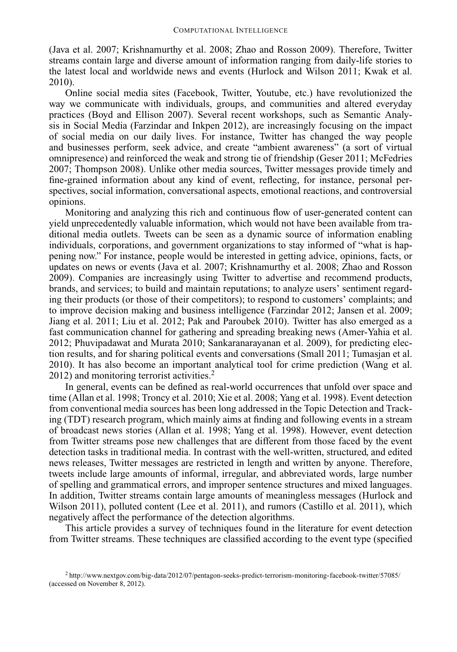[\(Java et al. 2007;](#page-28-0) [Krishnamurthy et al. 2008;](#page-29-0) [Zhao and Rosson 2009\)](#page-32-0). Therefore, Twitter streams contain large and diverse amount of information ranging from daily-life stories to the l[atest](#page-29-1) [local](#page-29-1) [and](#page-29-1) [worldwide](#page-29-1) [news](#page-29-1) [and](#page-29-1) [events](#page-29-1) [\(Hurlock and Wilson 2011;](#page-28-1) Kwak et al. 2010).

Online social media sites (Facebook, Twitter, Youtube, etc.) have revolutionized the way we communicate with individuals, groups, and communities and altered everyday practices [\(Boyd and Ellison 2007\)](#page-26-0). Several recent workshops, such as Semantic Analysis in Social Media [\(Farzindar and Inkpen 2012\)](#page-27-0), are increasingly focusing on the impact of social media on our daily lives. For instance, Twitter has changed the way people and businesses perform, seek advice, and create "ambient awareness" (a sort of virtual omni[presence\)](#page-30-0) [and](#page-30-0) [reinforced](#page-30-0) [the](#page-30-0) [weak](#page-30-0) [and](#page-30-0) [strong](#page-30-0) [tie](#page-30-0) [of](#page-30-0) [friendship](#page-30-0) [\(Geser 2011;](#page-27-1) McFedries 2007; [Thompson 2008\)](#page-32-1). Unlike other media sources, Twitter messages provide timely and fine-grained information about any kind of event, reflecting, for instance, personal perspectives, social information, conversational aspects, emotional reactions, and controversial opinions.

Monitoring and analyzing this rich and continuous flow of user-generated content can yield unprecedentedly valuable information, which would not have been available from traditional media outlets. Tweets can be seen as a dynamic source of information enabling individuals, corporations, and government organizations to stay informed of "what is happening now." For instance, people would be interested in getting advice, opinions, facts, or upda[tes](#page-32-0) [on](#page-32-0) [news](#page-32-0) [or](#page-32-0) [events](#page-32-0) [\(Java et al. 2007;](#page-28-0) [Krishnamurthy et al. 2008;](#page-29-0) Zhao and Rosson 2009). Companies are increasingly using Twitter to advertise and recommend products, brands, and services; to build and maintain reputations; to analyze users' sentiment regarding their products (or those of their competitors); to respond to customers' complaints; and to improve decision making and business intelligence [\(Farzindar 2012;](#page-27-2) [Jansen et al. 2009;](#page-28-2) [Jiang et al. 2011;](#page-28-3) [Liu et al. 2012;](#page-29-2) [Pak and Paroubek 2010\)](#page-30-1). Twitter has also emerged as a fast [communication](#page-26-1) [channel](#page-26-1) [for](#page-26-1) [gathering](#page-26-1) [and](#page-26-1) [spreading](#page-26-1) [breaking](#page-26-1) [news](#page-26-1) [\(](#page-26-1)Amer-Yahia et al. 2012; [Phuvipadawat and Murata 2010;](#page-31-0) [Sankaranarayanan et al. 2009\)](#page-31-1), for predicting election results, and for sharing political events and conversations (Small [2011;](#page-31-2) Tumasjan et al. [2010\)](#page-32-2). It has also become an important analytical tool for crime prediction (Wang et al.  $2012$  $2012$ ) and monitoring terrorist activities.<sup>2</sup>

In general, events can be defined as real-world occurrences that unfold over space and time [\(Allan et al. 1998;](#page-26-2) [Troncy et al. 2010;](#page-32-3) [Xie et al. 2008;](#page-32-4) [Yang et al. 1998\)](#page-32-5). Event detection from conventional media sources has been long addressed in the Topic Detection and Tracking (TDT) research program, which mainly aims at finding and following events in a stream of broadcast news stories [\(Allan et al. 1998;](#page-26-2) [Yang et al. 1998\)](#page-32-5). However, event detection from Twitter streams pose new challenges that are different from those faced by the event detection tasks in traditional media. In contrast with the well-written, structured, and edited news releases, Twitter messages are restricted in length and written by anyone. Therefore, tweets include large amounts of informal, irregular, and abbreviated words, large number of spelling and grammatical errors, and improper sentence structures and mixed languages. In addition, [Twitter](#page-28-1) [streams](#page-28-1) [contain](#page-28-1) [large](#page-28-1) [amounts](#page-28-1) [of](#page-28-1) [meaningless](#page-28-1) [messages](#page-28-1) [\(](#page-28-1)Hurlock and Wilson 2011), polluted content [\(Lee et al. 2011\)](#page-29-3), and rumors [\(Castillo et al. 2011\)](#page-27-3), which negatively affect the performance of the detection algorithms.

This article provides a survey of techniques found in the literature for event detection from Twitter streams. These techniques are classified according to the event type (specified

<span id="page-1-0"></span><sup>2</sup> <http://www.nextgov.com/big-data/2012/07/pentagon-seeks-predict-terrorism-monitoring-facebook-twitter/57085/> (accessed on November 8, 2012).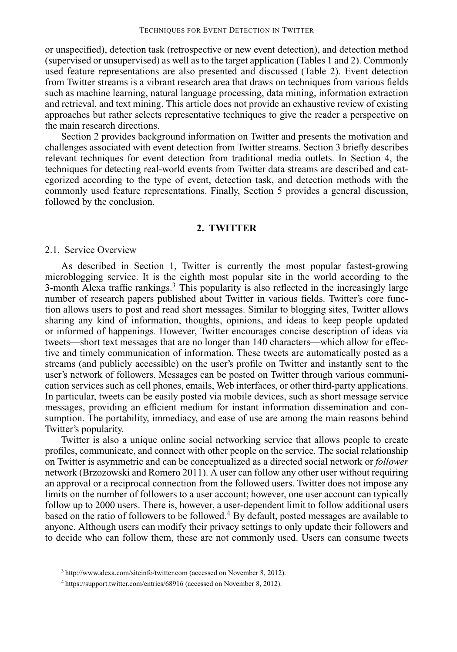or unspecified), detection task (retrospective or new event detection), and detection method (supervised or unsupervised) as well as to the target application (Tables [1](#page-3-0) and [2\)](#page-4-0). Commonly used feature representations are also presented and discussed (Table [2\)](#page-4-0). Event detection from Twitter streams is a vibrant research area that draws on techniques from various fields such as machine learning, natural language processing, data mining, information extraction and retrieval, and text mining. This article does not provide an exhaustive review of existing approaches but rather selects representative techniques to give the reader a perspective on the main research directions.

Section [2](#page-2-0) provides background information on Twitter and presents the motivation and challenges associated with event detection from Twitter streams. Section [3](#page-7-0) briefly describes relevant techniques for event detection from traditional media outlets. In Section [4,](#page-10-0) the techniques for detecting real-world events from Twitter data streams are described and categorized according to the type of event, detection task, and detection methods with the commonly used feature representations. Finally, Section [5](#page-23-0) provides a general discussion, followed by the conclusion.

## **2. TWITTER**

#### <span id="page-2-0"></span>2.1. Service Overview

As described in Section [1,](#page-0-1) Twitter is currently the most popular fastest-growing microblogging service. It is the eighth most popular site in the world according to the 3-month Alexa traffic rankings.<sup>3</sup> This popularity is also reflected in the increasingly large number of research papers published about Twitter in various fields. Twitter's core function allows users to post and read short messages. Similar to blogging sites, Twitter allows sharing any kind of information, thoughts, opinions, and ideas to keep people updated or informed of happenings. However, Twitter encourages concise description of ideas via tweets—short text messages that are no longer than 140 characters—which allow for effective and timely communication of information. These tweets are automatically posted as a streams (and publicly accessible) on the user's profile on Twitter and instantly sent to the user's network of followers. Messages can be posted on Twitter through various communication services such as cell phones, emails, Web interfaces, or other third-party applications. In particular, tweets can be easily posted via mobile devices, such as short message service messages, providing an efficient medium for instant information dissemination and consumption. The portability, immediacy, and ease of use are among the main reasons behind Twitter's popularity.

Twitter is also a unique online social networking service that allows people to create profiles, communicate, and connect with other people on the service. The social relationship on Twitter is asymmetric and can be conceptualized as a directed social network or *follower* network [\(Brzozowski and Romero 2011\)](#page-27-4). A user can follow any other user without requiring an approval or a reciprocal connection from the followed users. Twitter does not impose any limits on the number of followers to a user account; however, one user account can typically follow up to 2000 users. There is, however, a user-dependent limit to follow additional users based on the ratio of followers to be followed[.4](#page-2-2) By default, posted messages are available to anyone. Although users can modify their privacy settings to only update their followers and to decide who can follow them, these are not commonly used. Users can consume tweets

<sup>3</sup> <http://www.alexa.com/siteinfo/twitter.com> (accessed on November 8, 2012).

<span id="page-2-2"></span><span id="page-2-1"></span><sup>4</sup> <https://support.twitter.com/entries/68916> (accessed on November 8, 2012).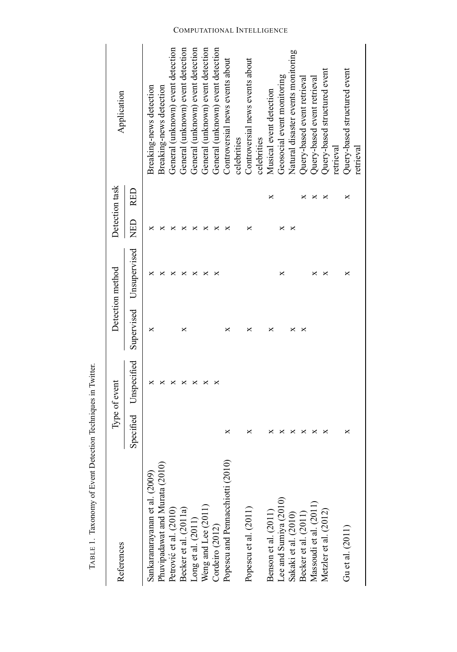| References                       | Type of event         |            | Detection method |            | Detection task | Application                        |
|----------------------------------|-----------------------|------------|------------------|------------|----------------|------------------------------------|
|                                  | Specified Unspecified | Supervised | Unsupervised     | <b>QHN</b> | RED            |                                    |
| Sankaranarayanan et al. (2009)   |                       | ×          |                  |            |                | Breaking-news detection            |
| Phuvipadawat and Murata (2010)   |                       |            |                  |            |                | Breaking-news detection            |
| Petrović et al. (2010)           |                       |            |                  |            |                | General (unknown) event detection  |
| Becker et al. (2011a)            |                       | ×          |                  |            |                | General (unknown) event detection  |
| Long et al. (2011)               |                       |            |                  |            |                | General (unknown) event detection  |
| Weng and Lee (2011)              |                       |            |                  |            |                | General (unknown) event detection  |
| Cordeiro (2012)                  |                       |            |                  |            |                | General (unknown) event detection  |
| Popescu and Pennacchiotti (2010) |                       | ×          |                  |            |                | Controversial news events about    |
|                                  |                       |            |                  |            |                | celebrities                        |
| Popescu et al. (2011)            |                       | ×          |                  | ×          |                | Controversial news events about    |
|                                  |                       |            |                  |            |                | celebrities                        |
| Benson et al. (2011)             |                       | ×          |                  |            | ×              | Musical event detection            |
| Lee and Sumiya (2010)            |                       |            | ×                | ×          |                | Geosocial event monitoring         |
| Sakaki et al. (2010)             |                       | ×          |                  |            |                | Natural disaster events monitoring |
| Becker et al. (2011)             |                       | ×          |                  |            | ×              | Query-based event retrieval        |
| Massoudi et al. (2011)           |                       |            |                  |            | ×              | Query-based event retrieval        |
| Metzler et al. (2012)            |                       |            |                  |            | ×              | Query-based structured event       |
|                                  |                       |            |                  |            |                | retrieval                          |
| Gu et al. (2011)                 |                       |            | ×                |            | ×              | Query-based structured event       |
|                                  |                       |            |                  |            |                | retrieval                          |

<span id="page-3-0"></span>TABLE 1. Taxonomy of Event Detection Techniques in Twitter. TABLE 1. Taxonomy of Event Detection Techniques in Twitter.

COMPUTATIONAL INTELLIGENCE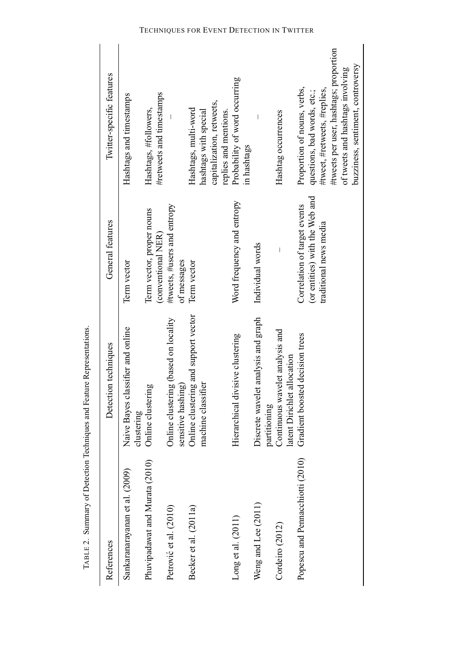| References                       | Detection techniques                                           | General features                                                                         | Twitter-specific features                                                                                                                                                                                     |
|----------------------------------|----------------------------------------------------------------|------------------------------------------------------------------------------------------|---------------------------------------------------------------------------------------------------------------------------------------------------------------------------------------------------------------|
| Sankaranarayanan et al. (2009)   | Naive Bayes classifier and online<br>clustering                | Term vector                                                                              | Hashtags and timestamps                                                                                                                                                                                       |
| Phuvipadawat and Murata (2010)   | Online clustering                                              | Term vector, proper nouns<br>(conventional NER)                                          | #retweets and timestamps<br>Hashtags, #followers,                                                                                                                                                             |
| Petrović et al. (2010)           | Online clustering (based on locality<br>sensitive hashing)     | #tweets, #users and entropy<br>of messages                                               |                                                                                                                                                                                                               |
| Becker et al. (2011a)            | Online clustering and support vector<br>machine classifier     | Term vector                                                                              | capitalization, retweets,<br>Hashtags, multi-word<br>hashtags with special<br>replies and mentions.                                                                                                           |
| Long et al. (2011)               | Hierarchical divisive clustering                               | Word frequency and entropy                                                               | Probability of word occurring<br>in hashtags                                                                                                                                                                  |
| Weng and Lee (2011)              | Discrete wavelet analysis and graph<br>partitioning            | Individual words                                                                         | I                                                                                                                                                                                                             |
| Cordeiro (2012)                  | Continuous wavelet analysis and<br>latent Dirichlet allocation | $\overline{\phantom{a}}$                                                                 | Hashtag occurrences                                                                                                                                                                                           |
| Popescu and Pennacchiotti (2010) | Gradient boosted decision trees                                | (or entities) with the Web and<br>Correlation of target events<br>traditional news media | #tweets per user, hashtags; proportion<br>buzziness, sentiment, controversy<br>of tweets and hashtags involving<br>Proportion of nouns, verbs,<br>#tweet, #retweets, #replies,<br>questions, bad words, etc.; |

<span id="page-4-0"></span>TABLE 2. Summary of Detection Techniques and Feature Representations. TABLE 2. Summary of Detection Techniques and Feature Representations.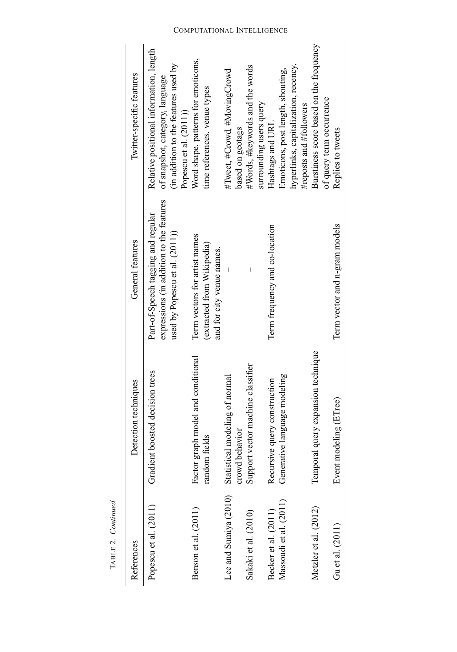| References                                     | etection techniques                                                    | General features                                                                                                 | Twitter-specific features                                                                                                                       |
|------------------------------------------------|------------------------------------------------------------------------|------------------------------------------------------------------------------------------------------------------|-------------------------------------------------------------------------------------------------------------------------------------------------|
| Popescu et al. (2011)                          | boosted decision trees<br>Gradient I                                   | expressions (in addition to the features<br>Part-of-Speech tagging and regular<br>used by Popescu et al. (2011)) | Relative positional information, length<br>(in addition to the features used by<br>of snapshot, category, language<br>Popescu et al. $(2011)$ ) |
| Benson et al. (2011)                           | Factor graph model and conditional<br>random fields                    | Term vectors for artist names<br>(extracted from Wikipedia)<br>and for city venue names.                         | Word shape, patterns for emoticons,<br>time references, venue types                                                                             |
|                                                | Lee and Sumiya (2010) Statistical modeling of normal<br>crowd behavior |                                                                                                                  | #Tweet, #Crowd, #MovingCrowd<br>based on geotags                                                                                                |
| Sakaki et al. (2010)                           | Support vector machine classifier                                      |                                                                                                                  | #Words, #keywords and the words                                                                                                                 |
| Massoudi et al. (2011)<br>Becker et al. (2011) | Generative language modeling<br>query construction<br>Recursive        | Term frequency and co-location                                                                                   | Emoticons, post length, shouting,<br>surrounding users query<br>Hashtags and URL                                                                |
| Metzler et al. (2012)                          | query expansion technique<br>Temporal                                  |                                                                                                                  | Burstiness score based on the frequency<br>hyperlinks, capitalization, recency,<br>#reposts and #followers                                      |
| Gu et al. $(2011)$                             | Event modeling (ETree)                                                 | Term vector and n-gram models                                                                                    | of query term occurrence<br>Replies to tweets                                                                                                   |

# COMPUTATIONAL INTELLIGENCE

TABLE 2. Continued. TABLE 2. *Continued.*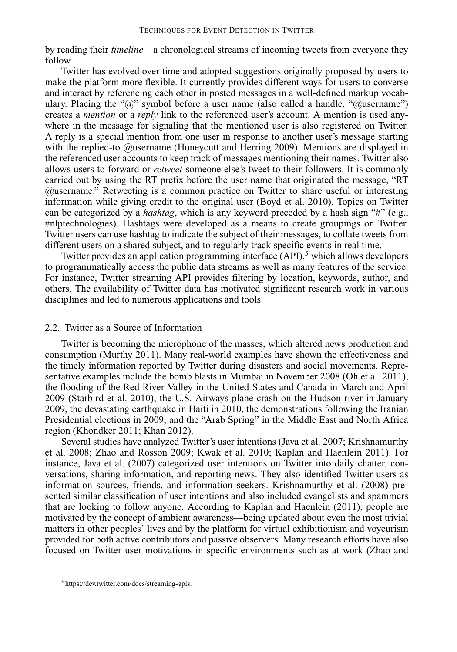by reading their *timeline*—a chronological streams of incoming tweets from everyone they follow.

Twitter has evolved over time and adopted suggestions originally proposed by users to make the platform more flexible. It currently provides different ways for users to converse and interact by referencing each other in posted messages in a well-defined markup vocabulary. Placing the " $@$ " symbol before a user name (also called a handle, " $@$ username") creates a *mention* or a *reply* link to the referenced user's account. A mention is used anywhere in the message for signaling that the mentioned user is also registered on Twitter. A reply is a special mention from one user in response to another user's message starting with the replied-to @username [\(Honeycutt and Herring 2009\)](#page-28-4). Mentions are displayed in the referenced user accounts to keep track of messages mentioning their names. Twitter also allows users to forward or *retweet* someone else's tweet to their followers. It is commonly carried out by using the RT prefix before the user name that originated the message, "RT @username." Retweeting is a common practice on Twitter to share useful or interesting information while giving credit to the original user [\(Boyd et al. 2010\)](#page-26-6). Topics on Twitter can be categorized by a *hashtag*, which is any keyword preceded by a hash sign "#" (e.g., #nlptechnologies). Hashtags were developed as a means to create groupings on Twitter. Twitter users can use hashtag to indicate the subject of their messages, to collate tweets from different users on a shared subject, and to regularly track specific events in real time.

Twitter provides an application programming interface  $(API)$ , which allows developers to programmatically access the public data streams as well as many features of the service. For instance, Twitter streaming API provides filtering by location, keywords, author, and others. The availability of Twitter data has motivated significant research work in various disciplines and led to numerous applications and tools.

## 2.2. Twitter as a Source of Information

Twitter is becoming the microphone of the masses, which altered news production and consumption [\(Murthy 2011\)](#page-30-4). Many real-world examples have shown the effectiveness and the timely information reported by Twitter during disasters and social movements. Representative examples include the bomb blasts in Mumbai in November 2008 [\(Oh et al. 2011\)](#page-30-5), the flooding of the Red River Valley in the United States and Canada in March and April 2009 [\(Starbird et al. 2010\)](#page-31-7), the U.S. Airways plane crash on the Hudson river in January 2009, the devastating earthquake in Haiti in 2010, the demonstrations following the Iranian Presidential elections in 2009, and the "Arab Spring" in the Middle East and North Africa region [\(Khondker 2011;](#page-28-5) [Khan 2012\)](#page-28-6).

Several studies have analyzed Twitter's user intentions [\(Java et al. 2007;](#page-28-0) Krishnamurthy et al. 2008; [Zhao and Rosson 2009;](#page-32-0) [Kwak et al. 2010;](#page-29-1) [Kaplan and Haenlein 2011\)](#page-28-7). For instance, [Java et al. \(2007\)](#page-28-0) categorized user intentions on Twitter into daily chatter, conversations, sharing information, and reporting news. They also identified Twitter users as information sources, friends, and information seekers. [Krishnamurthy et al. \(2008\)](#page-29-0) presented similar classification of user intentions and also included evangelists and spammers that are looking to follow anyone. According to [Kaplan and Haenlein \(2011\)](#page-28-7), people are motivated by the concept of ambient awareness—being updated about even the most trivial matters in other peoples' lives and by the platform for virtual exhibitionism and voyeurism provided for both active contributors and passive observers. Many research efforts have also focused on Twitter user motivations in specific environments such as at work (Zhao and

<span id="page-6-0"></span><sup>5</sup> [https://dev.twitter.com/docs/streaming-apis.](https://dev.twitter.com/docs/streaming-apis)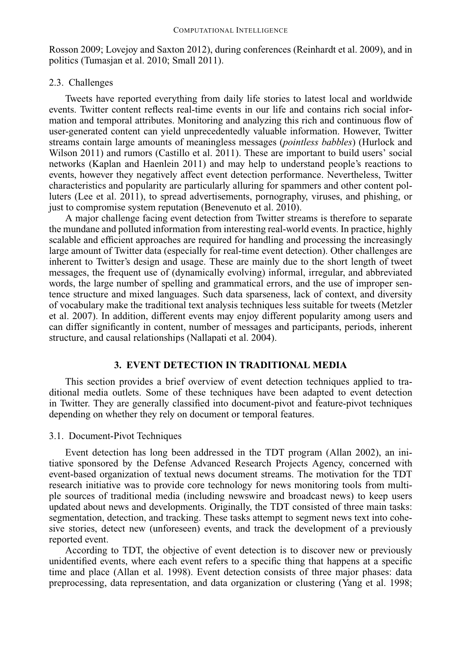Rosson 2009; [Lovejoy and Saxton 2012\)](#page-29-6), during conferences [\(Reinhardt et al. 2009\)](#page-31-8), and in politics [\(Tumasjan et al. 2010;](#page-32-2) [Small 2011\)](#page-31-2).

#### 2.3. Challenges

Tweets have reported everything from daily life stories to latest local and worldwide events. Twitter content reflects real-time events in our life and contains rich social information and temporal attributes. Monitoring and analyzing this rich and continuous flow of user-generated content can yield unprecedentedly valuable information. However, Twitter streams cont[ain large amounts of meaningless messages \(](#page-28-1)*pointless babbles*) (Hurlock and Wilson 2011) and rumors [\(Castillo et al. 2011\)](#page-27-3). These are important to build users' social networks [\(Kaplan and Haenlein 2011\)](#page-28-7) and may help to understand people's reactions to events, however they negatively affect event detection performance. Nevertheless, Twitter characteristics and popularity are particularly alluring for spammers and other content polluters [\(Lee et al. 2011\)](#page-29-3), to spread advertisements, pornography, viruses, and phishing, or just to compromise system reputation [\(Benevenuto et al. 2010\)](#page-26-7).

A major challenge facing event detection from Twitter streams is therefore to separate the mundane and polluted information from interesting real-world events. In practice, highly scalable and efficient approaches are required for handling and processing the increasingly large amount of Twitter data (especially for real-time event detection). Other challenges are inherent to Twitter's design and usage. These are mainly due to the short length of tweet messages, the frequent use of (dynamically evolving) informal, irregular, and abbreviated words, the large number of spelling and grammatical errors, and the use of improper sentence structure and mixed languages. Such data sparseness, lack of context, and diversity of vocabul[ary make the traditional text analysis techniques less suitable for tweets \(](#page-30-6)Metzler et al. 2007). In addition, different events may enjoy different popularity among users and can differ significantly in content, number of messages and participants, periods, inherent structure, and causal relationships [\(Nallapati et al. 2004\)](#page-30-7).

## **3. EVENT DETECTION IN TRADITIONAL MEDIA**

<span id="page-7-0"></span>This section provides a brief overview of event detection techniques applied to traditional media outlets. Some of these techniques have been adapted to event detection in Twitter. They are generally classified into document-pivot and feature-pivot techniques depending on whether they rely on document or temporal features.

#### 3.1. Document-Pivot Techniques

Event detection has long been addressed in the TDT program [\(Allan 2002\)](#page-25-0), an initiative sponsored by the Defense Advanced Research Projects Agency, concerned with event-based organization of textual news document streams. The motivation for the TDT research initiative was to provide core technology for news monitoring tools from multiple sources of traditional media (including newswire and broadcast news) to keep users updated about news and developments. Originally, the TDT consisted of three main tasks: segmentation, detection, and tracking. These tasks attempt to segment news text into cohesive stories, detect new (unforeseen) events, and track the development of a previously reported event.

According to TDT, the objective of event detection is to discover new or previously unidentified events, where each event refers to a specific thing that happens at a specific time and place [\(Allan et al. 1998\)](#page-26-2). Event detection consists of three major phases: data preprocessing, data representation, and data organization or clustering [\(Yang et al. 1998;](#page-32-5)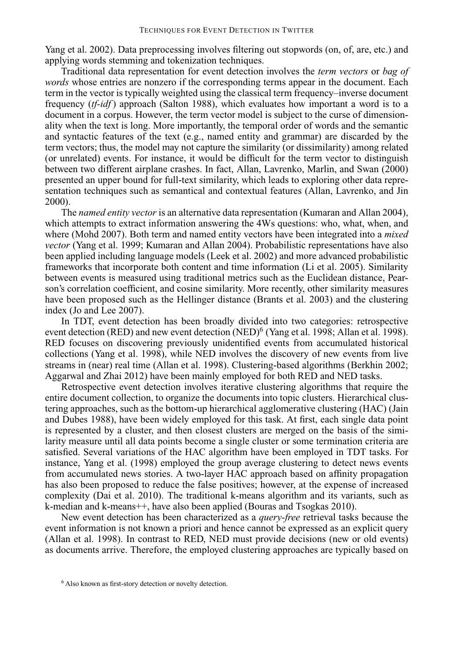[Yang et al. 2002\)](#page-32-7). Data preprocessing involves filtering out stopwords (on, of, are, etc.) and applying words stemming and tokenization techniques.

Traditional data representation for event detection involves the *term vectors* or *bag of words* whose entries are nonzero if the corresponding terms appear in the document. Each term in the vector is typically weighted using the classical term frequency–inverse document frequency (*tf-idf* ) approach [\(Salton 1988\)](#page-31-9), which evaluates how important a word is to a document in a corpus. However, the term vector model is subject to the curse of dimensionality when the text is long. More importantly, the temporal order of words and the semantic and syntactic features of the text (e.g., named entity and grammar) are discarded by the term vectors; thus, the model may not capture the similarity (or dissimilarity) among related (or unrelated) events. For instance, it would be difficult for the term vector to distinguish between two different airplane crashes. In fact, Allan, Lavrenko, Marlin, and Swan [\(2000\)](#page-26-8) presented an upper bound for full-text similarity, which leads to exploring other data representation techniques such as semantical and contextual features (Allan, Lavrenko, and Jin [2000\)](#page-26-9).

The *named entity vector* is an alternative data representation [\(Kumaran and Allan 2004\)](#page-29-7), which attempts to extract information answering the 4Ws questions: who, what, when, and where [\(Mohd 2007\)](#page-30-8). Both term and named entity vectors have been integrated into a *mixed vector* [\(Yang et al. 1999;](#page-32-8) [Kumaran and Allan 2004\)](#page-29-7). Probabilistic representations have also been applied including language models [\(Leek et al. 2002\)](#page-29-8) and more advanced probabilistic frameworks that incorporate both content and time information [\(Li et al. 2005\)](#page-29-9). Similarity between events is measured using traditional metrics such as the Euclidean distance, Pearson's correlation coefficient, and cosine similarity. More recently, other similarity measures have been proposed such as the Hellinger distance [\(Brants et al. 2003\)](#page-27-7) and the clustering index [\(Jo and Lee 2007\)](#page-28-8).

In TDT, event detection has been broadly divided into two categories: retrospective event detection (RED) and new event detection (NED) $^6$  [\(Yang et al. 1998;](#page-32-5) [Allan et al. 1998\)](#page-26-10). RED focuses on discovering previously unidentified events from accumulated historical collections [\(Yang et al. 1998\)](#page-32-5), while NED involves the discovery of new events from live streams in (near) real time [\(Allan et al. 1998\)](#page-26-10). Clustering-based algorithms [\(Berkhin 2002;](#page-26-11) [Aggarwal and Zhai 2012\)](#page-25-1) have been mainly employed for both RED and NED tasks.

Retrospective event detection involves iterative clustering algorithms that require the entire document collection, to organize the documents into topic clusters. Hierarchical clustering approache[s,](#page-28-9) [such](#page-28-9) [as](#page-28-9) [the](#page-28-9) [bottom-up](#page-28-9) [hierarchical](#page-28-9) [agglomerative](#page-28-9) [clustering](#page-28-9) [\(HAC\)](#page-28-9) [\(](#page-28-9)Jain and Dubes 1988), have been widely employed for this task. At first, each single data point is represented by a cluster, and then closest clusters are merged on the basis of the similarity measure until all data points become a single cluster or some termination criteria are satisfied. Several variations of the HAC algorithm have been employed in TDT tasks. For instance, [Yang et al. \(1998\)](#page-32-5) employed the group average clustering to detect news events from accumulated news stories. A two-layer HAC approach based on affinity propagation has also been proposed to reduce the false positives; however, at the expense of increased complexity [\(Dai et al. 2010\)](#page-27-8). The traditional k-means algorithm and its variants, such as k-median and k-means++, have also been applied (Bouras and Tsogkas [2010\)](#page-26-12).

New event detection has been characterized as a *query-free* retrieval tasks because the event information is not known a priori and hence cannot be expressed as an explicit query [\(Allan et al. 1998\)](#page-26-2). In contrast to RED, NED must provide decisions (new or old events) as documents arrive. Therefore, the employed clustering approaches are typically based on

<span id="page-8-0"></span><sup>6</sup> Also known as first-story detection or novelty detection.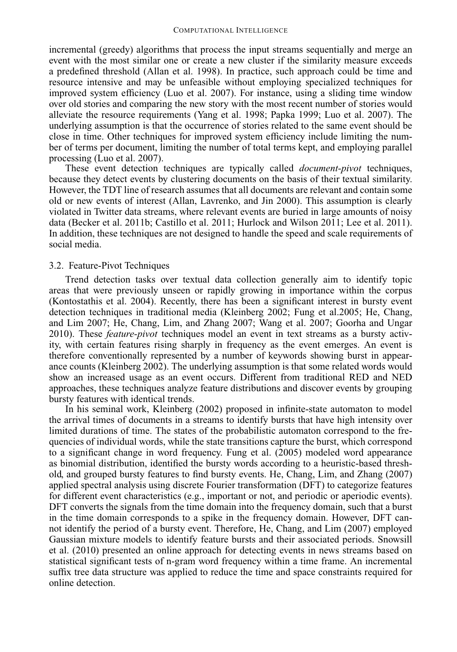incremental (greedy) algorithms that process the input streams sequentially and merge an event with the most similar one or create a new cluster if the similarity measure exceeds a predefined threshold [\(Allan et al. 1998\)](#page-26-10). In practice, such approach could be time and resource intensive and may be unfeasible without employing specialized techniques for improved system efficiency [\(Luo et al. 2007\)](#page-29-10). For instance, using a sliding time window over old stories and comparing the new story with the most recent number of stories would alleviate the resource requirements [\(Yang et al. 1998;](#page-32-5) [Papka 1999;](#page-30-9) [Luo et al. 2007\)](#page-29-10). The underlying assumption is that the occurrence of stories related to the same event should be close in time. Other techniques for improved system efficiency include limiting the number of terms per document, limiting the number of total terms kept, and employing parallel processing [\(Luo et al. 2007\)](#page-29-10).

These event detection techniques are typically called *document-pivot* techniques, because they detect events by clustering documents on the basis of their textual similarity. However, the TDT line of research assumes that all documents are relevant and contain some old or new events of interest (Allan, Lavrenko, and Jin [2000\)](#page-26-8). This assumption is clearly violated in Twitter data streams, where relevant events are buried in large amounts of noisy data [\(Becker et al. 2011b;](#page-26-13) [Castillo et al. 2011;](#page-27-3) [Hurlock and Wilson 2011;](#page-28-1) [Lee et al. 2011\)](#page-29-3). In addition, these techniques are not designed to handle the speed and scale requirements of social media.

## <span id="page-9-0"></span>3.2. Feature-Pivot Techniques

Trend detection tasks over textual data collection generally aim to identify topic areas that were previously unseen or rapidly growing in importance within the corpus [\(Kontostathis et al. 2004\)](#page-29-11). Recently, there has been a significant interest in bursty event detection techniques in traditional media (Kleinberg [2002;](#page-29-12) Fung et al[.2005;](#page-27-9) He, Chang, and Lim [2007;](#page-28-10) He, Chang, Lim, and Zhang [2007;](#page-28-11) Wang et al. [2007;](#page-32-9) Goorha and Ungar [2010\)](#page-27-10). These *feature-pivot* techniques model an event in text streams as a bursty activity, with certain features rising sharply in frequency as the event emerges. An event is therefore conventionally represented by a number of keywords showing burst in appearance counts [\(Kleinberg 2002\)](#page-29-12). The underlying assumption is that some related words would show an increased usage as an event occurs. Different from traditional RED and NED approaches, these techniques analyze feature distributions and discover events by grouping bursty features with identical trends.

In his seminal work, [Kleinberg \(2002\)](#page-29-12) proposed in infinite-state automaton to model the arrival times of documents in a streams to identify bursts that have high intensity over limited durations of time. The states of the probabilistic automaton correspond to the frequencies of individual words, while the state transitions capture the burst, which correspond to a significant change in word frequency. [Fung et al. \(2005\)](#page-27-9) modeled word appearance as binomial distribution, identified the bursty words according to a heuristic-based threshold, and grouped bursty features to find bursty events. He, Chang, Lim, and Zhang [\(2007\)](#page-28-10) applied spectral analysis using discrete Fourier transformation (DFT) to categorize features for different event characteristics (e.g., important or not, and periodic or aperiodic events). DFT converts the signals from the time domain into the frequency domain, such that a burst in the time domain corresponds to a spike in the frequency domain. However, DFT cannot identify the period of a bursty event. Therefore, He, Chang, and Lim [\(2007\)](#page-28-10) employed Gaussian mixture models to identify feature bursts and their associated periods. Snowsill et al. (2010[\)](#page-31-10) [presented](#page-31-10) [an](#page-31-10) [online](#page-31-10) [approach](#page-31-10) [for](#page-31-10) [detecting](#page-31-10) [events](#page-31-10) [in](#page-31-10) [news](#page-31-10) [streams](#page-31-10) [b](#page-31-10)ased on statistical significant tests of n-gram word frequency within a time frame. An incremental suffix tree data structure was applied to reduce the time and space constraints required for online detection.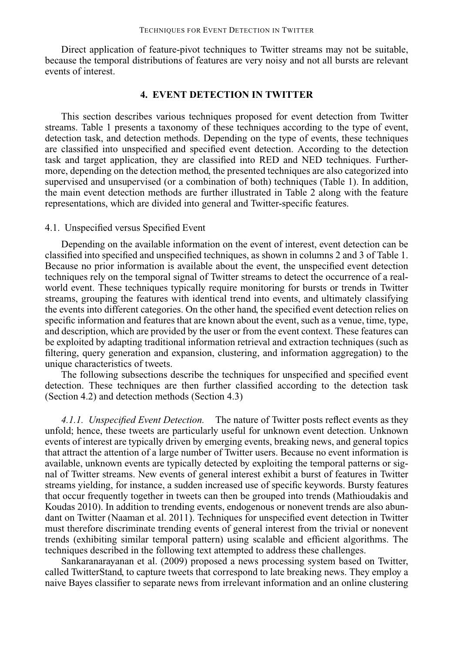<span id="page-10-0"></span>Direct application of feature-pivot techniques to Twitter streams may not be suitable, because the temporal distributions of features are very noisy and not all bursts are relevant events of interest.

## **4. EVENT DETECTION IN TWITTER**

This section describes various techniques proposed for event detection from Twitter streams. Table [1](#page-3-0) presents a taxonomy of these techniques according to the type of event, detection task, and detection methods. Depending on the type of events, these techniques are classified into unspecified and specified event detection. According to the detection task and target application, they are classified into RED and NED techniques. Furthermore, depending on the detection method, the presented techniques are also categorized into supervised and unsupervised (or a combination of both) techniques (Table [1\)](#page-3-0). In addition, the main event detection methods are further illustrated in Table [2](#page-4-0) along with the feature representations, which are divided into general and Twitter-specific features.

## 4.1. Unspecified versus Specified Event

Depending on the available information on the event of interest, event detection can be classified into specified and unspecified techniques, as shown in columns 2 and 3 of Table [1.](#page-3-0) Because no prior information is available about the event, the unspecified event detection techniques rely on the temporal signal of Twitter streams to detect the occurrence of a realworld event. These techniques typically require monitoring for bursts or trends in Twitter streams, grouping the features with identical trend into events, and ultimately classifying the events into different categories. On the other hand, the specified event detection relies on specific information and features that are known about the event, such as a venue, time, type, and description, which are provided by the user or from the event context. These features can be exploited by adapting traditional information retrieval and extraction techniques (such as filtering, query generation and expansion, clustering, and information aggregation) to the unique characteristics of tweets.

The following subsections describe the techniques for unspecified and specified event detection. These techniques are then further classified according to the detection task (Section [4.2\)](#page-16-0) and detection methods (Section [4.3\)](#page-17-0)

<span id="page-10-1"></span>*4.1.1. Unspecified Event Detection.* The nature of Twitter posts reflect events as they unfold; hence, these tweets are particularly useful for unknown event detection. Unknown events of interest are typically driven by emerging events, breaking news, and general topics that attract the attention of a large number of Twitter users. Because no event information is available, unknown events are typically detected by exploiting the temporal patterns or signal of Twitter streams. New events of general interest exhibit a burst of features in Twitter streams yielding, for instance, a sudden increased use of specific keywords. Bursty features that occur fr[equently together in tweets can then be grouped into trends \(](#page-30-10)Mathioudakis and Koudas 2010). In addition to trending events, endogenous or nonevent trends are also abundant on Twitter [\(Naaman et al. 2011\)](#page-30-11). Techniques for unspecified event detection in Twitter must therefore discriminate trending events of general interest from the trivial or nonevent trends (exhibiting similar temporal pattern) using scalable and efficient algorithms. The techniques described in the following text attempted to address these challenges.

[Sankaranarayanan et al. \(2009\)](#page-31-1) proposed a news processing system based on Twitter, called TwitterStand, to capture tweets that correspond to late breaking news. They employ a naive Bayes classifier to separate news from irrelevant information and an online clustering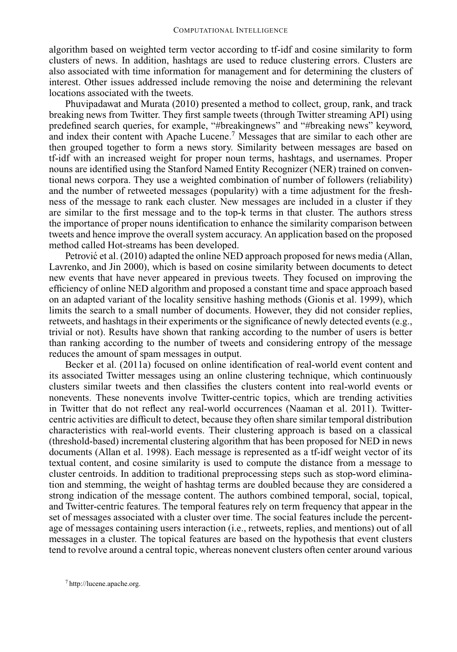algorithm based on weighted term vector according to tf-idf and cosine similarity to form clusters of news. In addition, hashtags are used to reduce clustering errors. Clusters are also associated with time information for management and for determining the clusters of interest. Other issues addressed include removing the noise and determining the relevant locations associated with the tweets.

[Phuvipadawat and Murata \(2010\)](#page-31-0) presented a method to collect, group, rank, and track breaking news from Twitter. They first sample tweets (through Twitter streaming API) using predefined search queries, for example, "#breakingnews" and "#breaking news" keyword, and index their content with Apache Lucene.<sup>7</sup> Messages that are similar to each other are then grouped together to form a news story. Similarity between messages are based on tf-idf with an increased weight for proper noun terms, hashtags, and usernames. Proper nouns are identified using the Stanford Named Entity Recognizer (NER) trained on conventional news corpora. They use a weighted combination of number of followers (reliability) and the number of retweeted messages (popularity) with a time adjustment for the freshness of the message to rank each cluster. New messages are included in a cluster if they are similar to the first message and to the top-k terms in that cluster. The authors stress the importance of proper nouns identification to enhance the similarity comparison between tweets and hence improve the overall system accuracy. An application based on the proposed method called Hot-streams has been developed.

Petrović et al. (2010) adapted the online NED approach proposed for news media (Allan, Lavrenko, and Jin [2000\)](#page-26-8), which is based on cosine similarity between documents to detect new events that have never appeared in previous tweets. They focused on improving the efficiency of online NED algorithm and proposed a constant time and space approach based on an adapted variant of the locality sensitive hashing methods [\(Gionis et al. 1999\)](#page-27-11), which limits the search to a small number of documents. However, they did not consider replies, retweets, and hashtags in their experiments or the significance of newly detected events (e.g., trivial or not). Results have shown that ranking according to the number of users is better than ranking according to the number of tweets and considering entropy of the message reduces the amount of spam messages in output.

[Becker et al. \(2011a\)](#page-26-3) focused on online identification of real-world event content and its associated Twitter messages using an online clustering technique, which continuously clusters similar tweets and then classifies the clusters content into real-world events or nonevents. These nonevents involve Twitter-centric topics, which are trending activities in Twitter that do not reflect any real-world occurrences [\(Naaman et al. 2011\)](#page-30-11). Twittercentric activities are difficult to detect, because they often share similar temporal distribution characteristics with real-world events. Their clustering approach is based on a classical (threshold-based) incremental clustering algorithm that has been proposed for NED in news documents [\(Allan et al. 1998\)](#page-26-10). Each message is represented as a tf-idf weight vector of its textual content, and cosine similarity is used to compute the distance from a message to cluster centroids. In addition to traditional preprocessing steps such as stop-word elimination and stemming, the weight of hashtag terms are doubled because they are considered a strong indication of the message content. The authors combined temporal, social, topical, and Twitter-centric features. The temporal features rely on term frequency that appear in the set of messages associated with a cluster over time. The social features include the percentage of messages containing users interaction (i.e., retweets, replies, and mentions) out of all messages in a cluster. The topical features are based on the hypothesis that event clusters tend to revolve around a central topic, whereas nonevent clusters often center around various

<span id="page-11-0"></span><sup>7</sup> <http://lucene.apache.org.>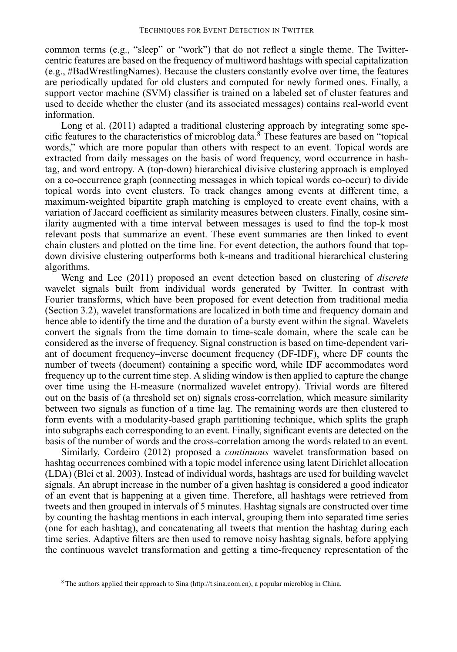common terms (e.g., "sleep" or "work") that do not reflect a single theme. The Twittercentric features are based on the frequency of multiword hashtags with special capitalization (e.g., #BadWrestlingNames). Because the clusters constantly evolve over time, the features are periodically updated for old clusters and computed for newly formed ones. Finally, a support vector machine (SVM) classifier is trained on a labeled set of cluster features and used to decide whether the cluster (and its associated messages) contains real-world event information.

[Long et al. \(2011\)](#page-29-4) adapted a traditional clustering approach by integrating some specific features to the characteristics of microblog data.<sup>8</sup> These features are based on "topical" words," which are more popular than others with respect to an event. Topical words are extracted from daily messages on the basis of word frequency, word occurrence in hashtag, and word entropy. A (top-down) hierarchical divisive clustering approach is employed on a co-occurrence graph (connecting messages in which topical words co-occur) to divide topical words into event clusters. To track changes among events at different time, a maximum-weighted bipartite graph matching is employed to create event chains, with a variation of Jaccard coefficient as similarity measures between clusters. Finally, cosine similarity augmented with a time interval between messages is used to find the top-k most relevant posts that summarize an event. These event summaries are then linked to event chain clusters and plotted on the time line. For event detection, the authors found that topdown divisive clustering outperforms both k-means and traditional hierarchical clustering algorithms.

[Weng and Lee \(2011\)](#page-32-6) proposed an event detection based on clustering of *discrete* wavelet signals built from individual words generated by Twitter. In contrast with Fourier transforms, which have been proposed for event detection from traditional media (Section [3.2\)](#page-9-0), wavelet transformations are localized in both time and frequency domain and hence able to identify the time and the duration of a bursty event within the signal. Wavelets convert the signals from the time domain to time-scale domain, where the scale can be considered as the inverse of frequency. Signal construction is based on time-dependent variant of document frequency–inverse document frequency (DF-IDF), where DF counts the number of tweets (document) containing a specific word, while IDF accommodates word frequency up to the current time step. A sliding window is then applied to capture the change over time using the H-measure (normalized wavelet entropy). Trivial words are filtered out on the basis of (a threshold set on) signals cross-correlation, which measure similarity between two signals as function of a time lag. The remaining words are then clustered to form events with a modularity-based graph partitioning technique, which splits the graph into subgraphs each corresponding to an event. Finally, significant events are detected on the basis of the number of words and the cross-correlation among the words related to an event.

Similarly, [Cordeiro \(2012\)](#page-27-5) proposed a *continuous* wavelet transformation based on hashtag occurrences combined with a topic model inference using latent Dirichlet allocation (LDA) [\(Blei et al. 2003\)](#page-26-14). Instead of individual words, hashtags are used for building wavelet signals. An abrupt increase in the number of a given hashtag is considered a good indicator of an event that is happening at a given time. Therefore, all hashtags were retrieved from tweets and then grouped in intervals of 5 minutes. Hashtag signals are constructed over time by counting the hashtag mentions in each interval, grouping them into separated time series (one for each hashtag), and concatenating all tweets that mention the hashtag during each time series. Adaptive filters are then used to remove noisy hashtag signals, before applying the continuous wavelet transformation and getting a time-frequency representation of the

<span id="page-12-0"></span><sup>&</sup>lt;sup>8</sup> The authors applied their approach to Sina (http://t.sina.com.cn), a popular microblog in China.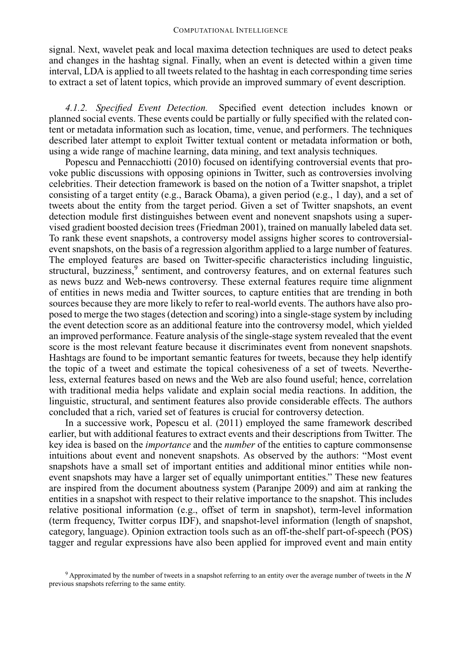signal. Next, wavelet peak and local maxima detection techniques are used to detect peaks and changes in the hashtag signal. Finally, when an event is detected within a given time interval, LDA is applied to all tweets related to the hashtag in each corresponding time series to extract a set of latent topics, which provide an improved summary of event description.

*4.1.2. Specified Event Detection.* Specified event detection includes known or planned social events. These events could be partially or fully specified with the related content or metadata information such as location, time, venue, and performers. The techniques described later attempt to exploit Twitter textual content or metadata information or both, using a wide range of machine learning, data mining, and text analysis techniques.

[Popescu and Pennacchiotti \(2010\)](#page-31-4) focused on identifying controversial events that provoke public discussions with opposing opinions in Twitter, such as controversies involving celebrities. Their detection framework is based on the notion of a Twitter snapshot, a triplet consisting of a target entity (e.g., Barack Obama), a given period (e.g., 1 day), and a set of tweets about the entity from the target period. Given a set of Twitter snapshots, an event detection module first distinguishes between event and nonevent snapshots using a supervised gradient boosted decision trees [\(Friedman 2001\)](#page-27-12), trained on manually labeled data set. To rank these event snapshots, a controversy model assigns higher scores to controversialevent snapshots, on the basis of a regression algorithm applied to a large number of features. The employed features are based on Twitter-specific characteristics including linguistic, structural, buzziness, $9$  sentiment, and controversy features, and on external features such as news buzz and Web-news controversy. These external features require time alignment of entities in news media and Twitter sources, to capture entities that are trending in both sources because they are more likely to refer to real-world events. The authors have also proposed to merge the two stages (detection and scoring) into a single-stage system by including the event detection score as an additional feature into the controversy model, which yielded an improved performance. Feature analysis of the single-stage system revealed that the event score is the most relevant feature because it discriminates event from nonevent snapshots. Hashtags are found to be important semantic features for tweets, because they help identify the topic of a tweet and estimate the topical cohesiveness of a set of tweets. Nevertheless, external features based on news and the Web are also found useful; hence, correlation with traditional media helps validate and explain social media reactions. In addition, the linguistic, structural, and sentiment features also provide considerable effects. The authors concluded that a rich, varied set of features is crucial for controversy detection.

In a successive work, [Popescu et al. \(2011\)](#page-31-5) employed the same framework described earlier, but with additional features to extract events and their descriptions from Twitter. The key idea is based on the *importance* and the *number* of the entities to capture commonsense intuitions about event and nonevent snapshots. As observed by the authors: "Most event snapshots have a small set of important entities and additional minor entities while nonevent snapshots may have a larger set of equally unimportant entities." These new features are inspired from the document aboutness system [\(Paranjpe 2009\)](#page-31-11) and aim at ranking the entities in a snapshot with respect to their relative importance to the snapshot. This includes relative positional information (e.g., offset of term in snapshot), term-level information (term frequency, Twitter corpus IDF), and snapshot-level information (length of snapshot, category, language). Opinion extraction tools such as an off-the-shelf part-of-speech (POS) tagger and regular expressions have also been applied for improved event and main entity

<span id="page-13-0"></span> $9$  Approximated by the number of tweets in a snapshot referring to an entity over the average number of tweets in the N previous snapshots referring to the same entity.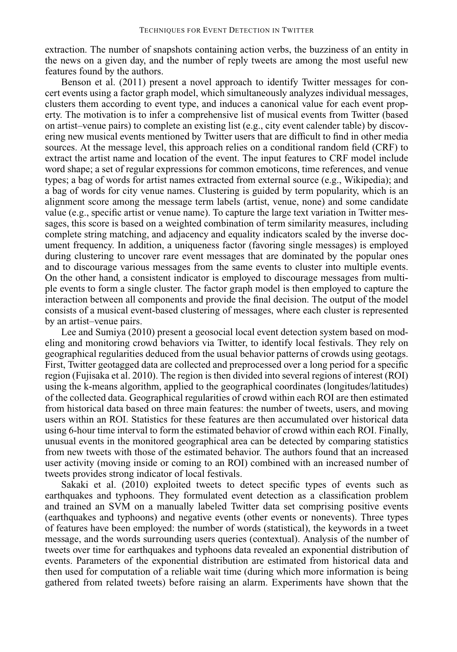extraction. The number of snapshots containing action verbs, the buzziness of an entity in the news on a given day, and the number of reply tweets are among the most useful new features found by the authors.

[Benson et al. \(2011\)](#page-26-4) present a novel approach to identify Twitter messages for concert events using a factor graph model, which simultaneously analyzes individual messages, clusters them according to event type, and induces a canonical value for each event property. The motivation is to infer a comprehensive list of musical events from Twitter (based on artist–venue pairs) to complete an existing list (e.g., city event calender table) by discovering new musical events mentioned by Twitter users that are difficult to find in other media sources. At the message level, this approach relies on a conditional random field (CRF) to extract the artist name and location of the event. The input features to CRF model include word shape; a set of regular expressions for common emoticons, time references, and venue types; a bag of words for artist names extracted from external source (e.g., Wikipedia); and a bag of words for city venue names. Clustering is guided by term popularity, which is an alignment score among the message term labels (artist, venue, none) and some candidate value (e.g., specific artist or venue name). To capture the large text variation in Twitter messages, this score is based on a weighted combination of term similarity measures, including complete string matching, and adjacency and equality indicators scaled by the inverse document frequency. In addition, a uniqueness factor (favoring single messages) is employed during clustering to uncover rare event messages that are dominated by the popular ones and to discourage various messages from the same events to cluster into multiple events. On the other hand, a consistent indicator is employed to discourage messages from multiple events to form a single cluster. The factor graph model is then employed to capture the interaction between all components and provide the final decision. The output of the model consists of a musical event-based clustering of messages, where each cluster is represented by an artist–venue pairs.

[Lee and Sumiya \(2010\)](#page-29-5) present a geosocial local event detection system based on modeling and monitoring crowd behaviors via Twitter, to identify local festivals. They rely on geographical regularities deduced from the usual behavior patterns of crowds using geotags. First, Twitter geotagged data are collected and preprocessed over a long period for a specific region [\(Fujisaka et al. 2010\)](#page-27-13). The region is then divided into several regions of interest (ROI) using the k-means algorithm, applied to the geographical coordinates (longitudes/latitudes) of the collected data. Geographical regularities of crowd within each ROI are then estimated from historical data based on three main features: the number of tweets, users, and moving users within an ROI. Statistics for these features are then accumulated over historical data using 6-hour time interval to form the estimated behavior of crowd within each ROI. Finally, unusual events in the monitored geographical area can be detected by comparing statistics from new tweets with those of the estimated behavior. The authors found that an increased user activity (moving inside or coming to an ROI) combined with an increased number of tweets provides strong indicator of local festivals.

[Sakaki et al. \(2010\)](#page-31-6) exploited tweets to detect specific types of events such as earthquakes and typhoons. They formulated event detection as a classification problem and trained an SVM on a manually labeled Twitter data set comprising positive events (earthquakes and typhoons) and negative events (other events or nonevents). Three types of features have been employed: the number of words (statistical), the keywords in a tweet message, and the words surrounding users queries (contextual). Analysis of the number of tweets over time for earthquakes and typhoons data revealed an exponential distribution of events. Parameters of the exponential distribution are estimated from historical data and then used for computation of a reliable wait time (during which more information is being gathered from related tweets) before raising an alarm. Experiments have shown that the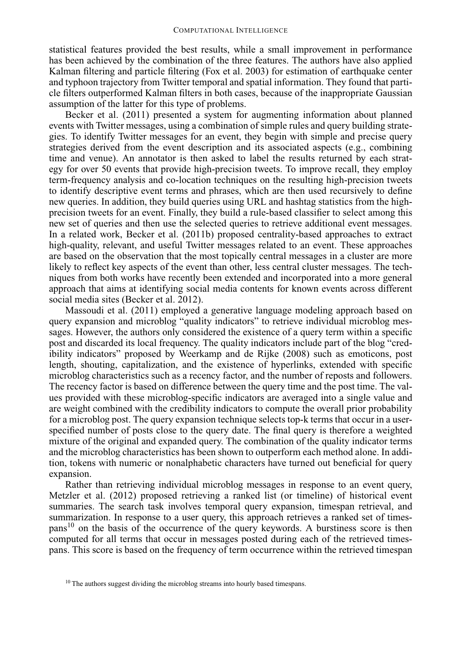statistical features provided the best results, while a small improvement in performance has been achieved by the combination of the three features. The authors have also applied Kalman filtering and particle filtering [\(Fox et al. 2003\)](#page-27-14) for estimation of earthquake center and typhoon trajectory from Twitter temporal and spatial information. They found that particle filters outperformed Kalman filters in both cases, because of the inappropriate Gaussian assumption of the latter for this type of problems.

[Becker et al. \(2011\)](#page-26-5) presented a system for augmenting information about planned events with Twitter messages, using a combination of simple rules and query building strategies. To identify Twitter messages for an event, they begin with simple and precise query strategies derived from the event description and its associated aspects (e.g., combining time and venue). An annotator is then asked to label the results returned by each strategy for over 50 events that provide high-precision tweets. To improve recall, they employ term-frequency analysis and co-location techniques on the resulting high-precision tweets to identify descriptive event terms and phrases, which are then used recursively to define new queries. In addition, they build queries using URL and hashtag statistics from the highprecision tweets for an event. Finally, they build a rule-based classifier to select among this new set of queries and then use the selected queries to retrieve additional event messages. In a related work, [Becker et al. \(2011b\)](#page-26-13) proposed centrality-based approaches to extract high-quality, relevant, and useful Twitter messages related to an event. These approaches are based on the observation that the most topically central messages in a cluster are more likely to reflect key aspects of the event than other, less central cluster messages. The techniques from both works have recently been extended and incorporated into a more general approach that aims at identifying social media contents for known events across different social media sites [\(Becker et al. 2012\)](#page-26-15).

[Massoudi et al. \(2011\)](#page-30-2) employed a generative language modeling approach based on query expansion and microblog "quality indicators" to retrieve individual microblog messages. However, the authors only considered the existence of a query term within a specific post and discarded its local frequency. The quality indicators include part of the blog "credibility indicators" proposed by [Weerkamp and de Rijke \(2008\)](#page-32-10) such as emoticons, post length, shouting, capitalization, and the existence of hyperlinks, extended with specific microblog characteristics such as a recency factor, and the number of reposts and followers. The recency factor is based on difference between the query time and the post time. The values provided with these microblog-specific indicators are averaged into a single value and are weight combined with the credibility indicators to compute the overall prior probability for a microblog post. The query expansion technique selects top-k terms that occur in a userspecified number of posts close to the query date. The final query is therefore a weighted mixture of the original and expanded query. The combination of the quality indicator terms and the microblog characteristics has been shown to outperform each method alone. In addition, tokens with numeric or nonalphabetic characters have turned out beneficial for query expansion.

Rather than retrieving individual microblog messages in response to an event query, [Metzler et al. \(2012\)](#page-30-3) proposed retrieving a ranked list (or timeline) of historical event summaries. The search task involves temporal query expansion, timespan retrieval, and summarization. In response to a user query, this approach retrieves a ranked set of timespans<sup>10</sup> on the basis of the occurrence of the query keywords. A burstiness score is then computed for all terms that occur in messages posted during each of the retrieved timespans. This score is based on the frequency of term occurrence within the retrieved timespan

<span id="page-15-0"></span><sup>&</sup>lt;sup>10</sup> The authors suggest dividing the microblog streams into hourly based timespans.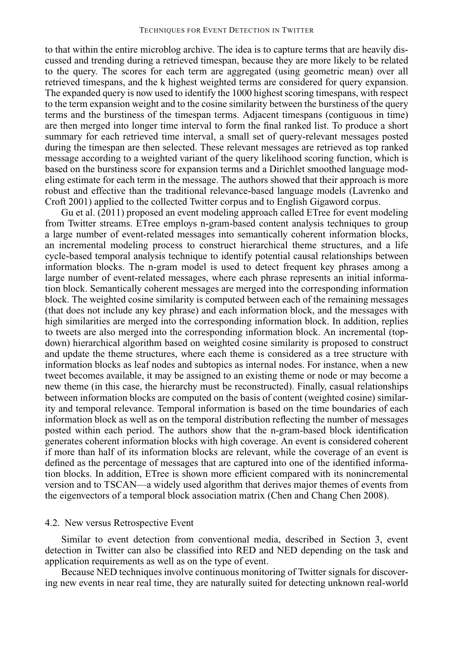to that within the entire microblog archive. The idea is to capture terms that are heavily discussed and trending during a retrieved timespan, because they are more likely to be related to the query. The scores for each term are aggregated (using geometric mean) over all retrieved timespans, and the k highest weighted terms are considered for query expansion. The expanded query is now used to identify the 1000 highest scoring timespans, with respect to the term expansion weight and to the cosine similarity between the burstiness of the query terms and the burstiness of the timespan terms. Adjacent timespans (contiguous in time) are then merged into longer time interval to form the final ranked list. To produce a short summary for each retrieved time interval, a small set of query-relevant messages posted during the timespan are then selected. These relevant messages are retrieved as top ranked message according to a weighted variant of the query likelihood scoring function, which is based on the burstiness score for expansion terms and a Dirichlet smoothed language modeling estimate for each term in the message. The authors showed that their approach is more robust and [effective](#page-29-13) [than](#page-29-13) [the](#page-29-13) [traditional](#page-29-13) [relevance-based](#page-29-13) [language](#page-29-13) [models](#page-29-13) [\(](#page-29-13)Lavrenko and Croft 2001) applied to the collected Twitter corpus and to English Gigaword corpus.

[Gu et al. \(2011\)](#page-27-6) proposed an event modeling approach called ETree for event modeling from Twitter streams. ETree employs n-gram-based content analysis techniques to group a large number of event-related messages into semantically coherent information blocks, an incremental modeling process to construct hierarchical theme structures, and a life cycle-based temporal analysis technique to identify potential causal relationships between information blocks. The n-gram model is used to detect frequent key phrases among a large number of event-related messages, where each phrase represents an initial information block. Semantically coherent messages are merged into the corresponding information block. The weighted cosine similarity is computed between each of the remaining messages (that does not include any key phrase) and each information block, and the messages with high similarities are merged into the corresponding information block. In addition, replies to tweets are also merged into the corresponding information block. An incremental (topdown) hierarchical algorithm based on weighted cosine similarity is proposed to construct and update the theme structures, where each theme is considered as a tree structure with information blocks as leaf nodes and subtopics as internal nodes. For instance, when a new tweet becomes available, it may be assigned to an existing theme or node or may become a new theme (in this case, the hierarchy must be reconstructed). Finally, casual relationships between information blocks are computed on the basis of content (weighted cosine) similarity and temporal relevance. Temporal information is based on the time boundaries of each information block as well as on the temporal distribution reflecting the number of messages posted within each period. The authors show that the n-gram-based block identification generates coherent information blocks with high coverage. An event is considered coherent if more than half of its information blocks are relevant, while the coverage of an event is defined as the percentage of messages that are captured into one of the identified information blocks. In addition, ETree is shown more efficient compared with its nonincremental version and to TSCAN—a widely used algorithm that derives major themes of events from the eigenvectors of a temporal block association matrix [\(Chen and Chang Chen 2008\)](#page-27-15).

#### <span id="page-16-0"></span>4.2. New versus Retrospective Event

Similar to event detection from conventional media, described in Section [3,](#page-7-0) event detection in Twitter can also be classified into RED and NED depending on the task and application requirements as well as on the type of event.

Because NED techniques involve continuous monitoring of Twitter signals for discovering new events in near real time, they are naturally suited for detecting unknown real-world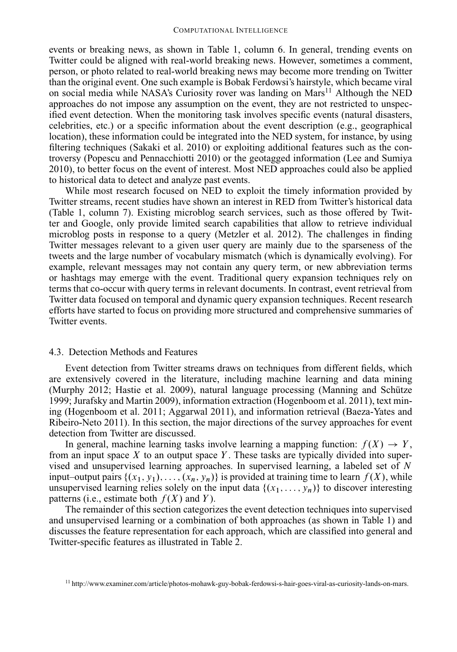events or breaking news, as shown in Table [1,](#page-3-0) column 6. In general, trending events on Twitter could be aligned with real-world breaking news. However, sometimes a comment, person, or photo related to real-world breaking news may become more trending on Twitter than the original event. One such example is Bobak Ferdowsi's hairstyle, which became viral on social media while NASA's Curiosity rover was landing on  $Mars<sup>11</sup>$  Although the NED approaches do not impose any assumption on the event, they are not restricted to unspecified event detection. When the monitoring task involves specific events (natural disasters, celebrities, etc.) or a specific information about the event description (e.g., geographical location), these information could be integrated into the NED system, for instance, by using filtering techniques [\(Sakaki et al. 2010\)](#page-31-6) or exploiting additional features such as the controversy [\(Popescu and Pennacchiotti 2010\)](#page-31-4) or the geotagged information (Lee and Sumiya 2010), to better focus on the event of interest. Most NED approaches could also be applied to historical data to detect and analyze past events.

While most research focused on NED to exploit the timely information provided by Twitter streams, recent studies have shown an interest in RED from Twitter's historical data (Table [1,](#page-3-0) column 7). Existing microblog search services, such as those offered by Twitter and Google, only provide limited search capabilities that allow to retrieve individual microblog posts in response to a query [\(Metzler et al. 2012\)](#page-30-3). The challenges in finding Twitter messages relevant to a given user query are mainly due to the sparseness of the tweets and the large number of vocabulary mismatch (which is dynamically evolving). For example, relevant messages may not contain any query term, or new abbreviation terms or hashtags may emerge with the event. Traditional query expansion techniques rely on terms that co-occur with query terms in relevant documents. In contrast, event retrieval from Twitter data focused on temporal and dynamic query expansion techniques. Recent research efforts have started to focus on providing more structured and comprehensive summaries of Twitter events.

#### <span id="page-17-0"></span>4.3. Detection Methods and Features

Event detection from Twitter streams draws on techniques from different fields, which are extensively covered in the literature, including machine learning and data mining [\(Murphy 2012;](#page-30-12) [Hastie et al. 2009\)](#page-28-12), natural language processing (Manning and Schütze 1999; [Jurafsky and Martin 2009\)](#page-28-13), information extraction [\(Hogenboom et al. 2011\)](#page-28-14), text mining [\(Hogenboom et al. 2011](#page-28-14)[;](#page-26-16) [Aggarwal 2011\)](#page-25-2)[, and information retrieval \(](#page-26-16)Baeza-Yates and Ribeiro-Neto 2011). In this section, the major directions of the survey approaches for event detection from Twitter are discussed.

In general, machine learning tasks involve learning a mapping function:  $f(X) \to Y$ , from an input space  $X$  to an output space  $Y$ . These tasks are typically divided into supervised and unsupervised learning approaches. In supervised learning, a labeled set of N input–output pairs  $\{(x_1, y_1), \ldots, (x_n, y_n)\}\$ is provided at training time to learn  $f(X)$ , while unsupervised learning relies solely on the input data  $\{(x_1,\ldots,y_n)\}\)$  to discover interesting patterns (i.e., estimate both  $f(X)$  and Y).

The remainder of this section categorizes the event detection techniques into supervised and unsupervised learning or a combination of both approaches (as shown in Table [1\)](#page-3-0) and discusses the feature representation for each approach, which are classified into general and Twitter-specific features as illustrated in Table [2.](#page-4-0)

<span id="page-17-1"></span><sup>11</sup> http://www.examiner.com/article/photos-mohawk-guy-bobak-ferdowsi-s-hair-goes-viral-as-curiosity-lands-on-mars.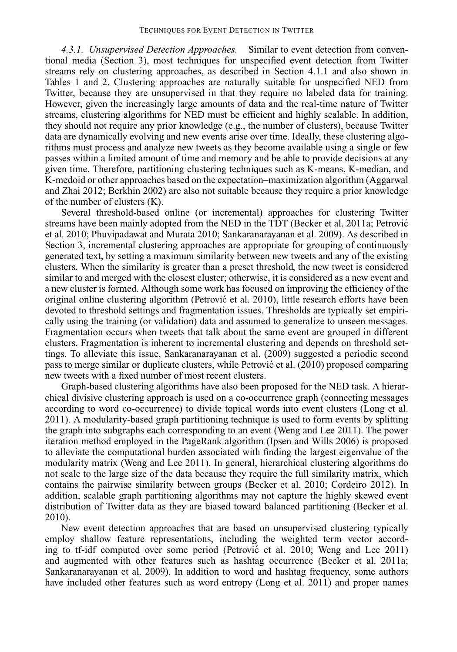*4.3.1. Unsupervised Detection Approaches.* Similar to event detection from conventional media (Section [3\)](#page-7-0), most techniques for unspecified event detection from Twitter streams rely on clustering approaches, as described in Section [4.1.1](#page-10-1) and also shown in Tables [1](#page-3-0) and [2.](#page-4-0) Clustering approaches are naturally suitable for unspecified NED from Twitter, because they are unsupervised in that they require no labeled data for training. However, given the increasingly large amounts of data and the real-time nature of Twitter streams, clustering algorithms for NED must be efficient and highly scalable. In addition, they should not require any prior knowledge (e.g., the number of clusters), because Twitter data are dynamically evolving and new events arise over time. Ideally, these clustering algorithms must process and analyze new tweets as they become available using a single or few passes within a limited amount of time and memory and be able to provide decisions at any given time. Therefore, partitioning clustering techniques such as K-means, K-median, and K-medoid or other approaches based on the expectation–maximization algorithm (Aggarwal and Zhai 2012; [Berkhin 2002\)](#page-26-11) are also not suitable because they require a prior knowledge of the number of clusters (K).

Several threshold-based online (or incremental) approaches for clustering Twitter streams h[ave](#page-31-3) [been](#page-31-3) [mainly](#page-31-3) [adopted](#page-31-3) [from](#page-31-3) [the](#page-31-3) [NED](#page-31-3) [in](#page-31-3) the [TDT](#page-31-3) [\(Becker et al. 2011a;](#page-26-3) Petrovic et al. 2010; [Phuvipadawat and Murata 2010;](#page-31-0) [Sankaranarayanan et al. 2009\)](#page-31-1). As described in Section [3,](#page-7-0) incremental clustering approaches are appropriate for grouping of continuously generated text, by setting a maximum similarity between new tweets and any of the existing clusters. When the similarity is greater than a preset threshold, the new tweet is considered similar to and merged with the closest cluster; otherwise, it is considered as a new event and a new cluster is formed. Although some work has focused on improving the efficiency of the original online clustering algorithm (Petrović et al. 2010), little research efforts have been devoted to threshold settings and fragmentation issues. Thresholds are typically set empirically using the training (or validation) data and assumed to generalize to unseen messages. Fragmentation occurs when tweets that talk about the same event are grouped in different clusters. Fragmentation is inherent to incremental clustering and depends on threshold settings. To alleviate this issue, [Sankaranarayanan et al. \(2009\)](#page-31-1) suggested a periodic second pass to merge similar or duplicate clusters, while [Petrovic et al. \(2010\)](#page-31-3) proposed comparing ´ new tweets with a fixed number of most recent clusters.

Graph-based clustering algorithms have also been proposed for the NED task. A hierarchical divisive clustering approach is used on a co-occurrence graph (connecting messages according to word co-occurrence) to divide topical words into event clusters (Long et al. 2011). A modularity-based graph partitioning technique is used to form events by splitting the graph into subgraphs each corresponding to an event [\(Weng and Lee 2011\)](#page-32-6). The power iteration method employed in the PageRank algorithm [\(Ipsen and Wills 2006\)](#page-28-15) is proposed to alleviate the computational burden associated with finding the largest eigenvalue of the modularity matrix [\(Weng and Lee 2011\)](#page-32-6). In general, hierarchical clustering algorithms do not scale to the large size of the data because they require the full similarity matrix, which contains the pairwise similarity between groups [\(Becker et al. 2010;](#page-26-17) [Cordeiro 2012\)](#page-27-5). In addition, scalable graph partitioning algorithms may not capture the highly skewed event distri[bution](#page-26-17) [of](#page-26-17) [Twitter](#page-26-17) [data](#page-26-17) [as](#page-26-17) [they](#page-26-17) [are](#page-26-17) [biased](#page-26-17) [toward](#page-26-17) [balanced](#page-26-17) [partitioning](#page-26-17) [\(](#page-26-17)Becker et al. 2010).

New event detection approaches that are based on unsupervised clustering typically employ shallow feature representations, including the weighted term vector accord-ing to tf-idf computed over some period [\(Petrovic et al. 2010;](#page-31-3) [Weng and Lee 2011\)](#page-32-6) and augmented with other features such as hashtag occurrence [\(Becker et al. 2011a;](#page-26-3) [Sankaranarayanan et al. 2009\)](#page-31-1). In addition to word and hashtag frequency, some authors have included other features such as word entropy [\(Long et al. 2011\)](#page-29-4) and proper names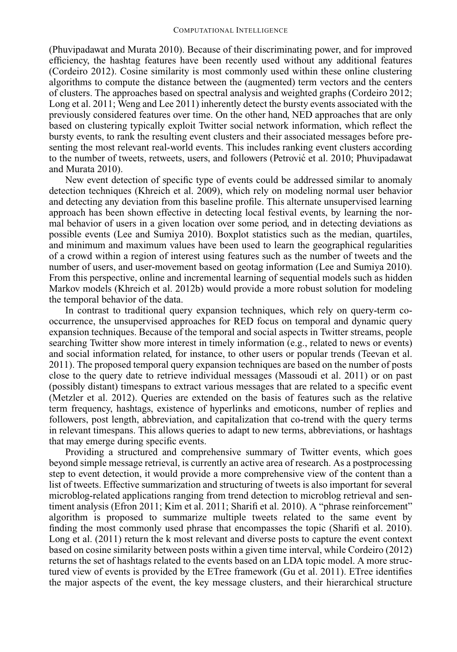[\(Phuvipadawat and Murata 2010\)](#page-31-0). Because of their discriminating power, and for improved efficiency, the hashtag features have been recently used without any additional features [\(Cordeiro 2012\)](#page-27-5). Cosine similarity is most commonly used within these online clustering algorithms to compute the distance between the (augmented) term vectors and the centers of clusters. The approaches based on spectral analysis and weighted graphs [\(Cordeiro 2012;](#page-27-5) [Long et al. 2011;](#page-29-4) [Weng and Lee 2011\)](#page-32-6) inherently detect the bursty events associated with the previously considered features over time. On the other hand, NED approaches that are only based on clustering typically exploit Twitter social network information, which reflect the bursty events, to rank the resulting event clusters and their associated messages before presenting the most relevant real-world events. This includes ranking event clusters according to the number of tweets, retweets, users, and followers (Petrović et al. 2010; Phuvipadawat and Murata 2010).

New event detection of specific type of events could be addressed similar to anomaly detection techniques [\(Khreich et al. 2009\)](#page-29-14), which rely on modeling normal user behavior and detecting any deviation from this baseline profile. This alternate unsupervised learning approach has been shown effective in detecting local festival events, by learning the normal behavior of users in a given location over some period, and in detecting deviations as possible events [\(Lee and Sumiya 2010\)](#page-29-5). Boxplot statistics such as the median, quartiles, and minimum and maximum values have been used to learn the geographical regularities of a crowd within a region of interest using features such as the number of tweets and the number of users, and user-movement based on geotag information [\(Lee and Sumiya 2010\)](#page-29-5). From this perspective, online and incremental learning of sequential models such as hidden Markov models [\(Khreich et al. 2012b\)](#page-28-16) would provide a more robust solution for modeling the temporal behavior of the data.

In contrast to traditional query expansion techniques, which rely on query-term cooccurrence, the unsupervised approaches for RED focus on temporal and dynamic query expansion techniques. Because of the temporal and social aspects in Twitter streams, people searching Twitter show more interest in timely information (e.g., related to news or events) and [social](#page-32-11) [information](#page-32-11) [related,](#page-32-11) [for](#page-32-11) [instance,](#page-32-11) [to](#page-32-11) [other](#page-32-11) [users](#page-32-11) [or](#page-32-11) [popular](#page-32-11) [trends](#page-32-11) [\(](#page-32-11)Teevan et al. 2011). The proposed temporal query expansion techniques are based on the number of posts close to the query date to retrieve individual messages [\(Massoudi et al. 2011\)](#page-30-2) or on past (possibly distant) timespans to extract various messages that are related to a specific event [\(Metzler et al. 2012\)](#page-30-3). Queries are extended on the basis of features such as the relative term frequency, hashtags, existence of hyperlinks and emoticons, number of replies and followers, post length, abbreviation, and capitalization that co-trend with the query terms in relevant timespans. This allows queries to adapt to new terms, abbreviations, or hashtags that may emerge during specific events.

Providing a structured and comprehensive summary of Twitter events, which goes beyond simple message retrieval, is currently an active area of research. As a postprocessing step to event detection, it would provide a more comprehensive view of the content than a list of tweets. Effective summarization and structuring of tweets is also important for several microblog-related applications ranging from trend detection to microblog retrieval and sentiment analysis [\(Efron 2011;](#page-27-16) [Kim et al. 2011;](#page-29-15) [Sharifi et al. 2010\)](#page-31-12). A "phrase reinforcement" algorithm is proposed to summarize multiple tweets related to the same event by finding the most commonly used phrase that encompasses the topic [\(Sharifi et al. 2010\)](#page-31-12). [Long et al. \(2011\)](#page-29-4) return the k most relevant and diverse posts to capture the event context based on cosine similarity between posts within a given time interval, while [Cordeiro \(2012\)](#page-27-5) returns the set of hashtags related to the events based on an LDA topic model. A more structured view of events is provided by the ETree framework [\(Gu et al. 2011\)](#page-27-6). ETree identifies the major aspects of the event, the key message clusters, and their hierarchical structure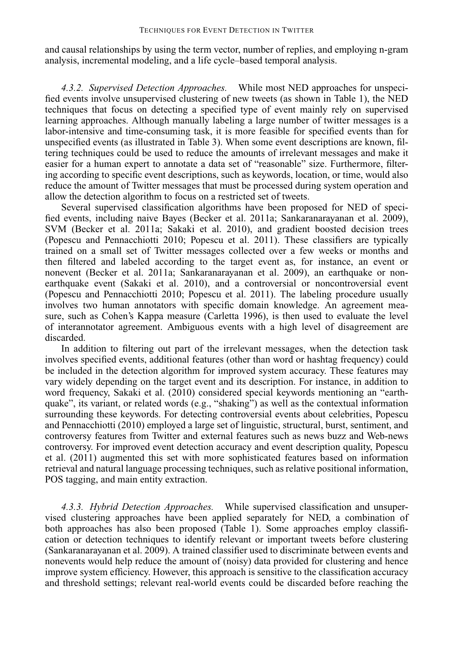and causal relationships by using the term vector, number of replies, and employing n-gram analysis, incremental modeling, and a life cycle–based temporal analysis.

*4.3.2. Supervised Detection Approaches.* While most NED approaches for unspecified events involve unsupervised clustering of new tweets (as shown in Table [1\)](#page-3-0), the NED techniques that focus on detecting a specified type of event mainly rely on supervised learning approaches. Although manually labeling a large number of twitter messages is a labor-intensive and time-consuming task, it is more feasible for specified events than for unspecified events (as illustrated in Table [3\)](#page-21-0). When some event descriptions are known, filtering techniques could be used to reduce the amounts of irrelevant messages and make it easier for a human expert to annotate a data set of "reasonable" size. Furthermore, filtering according to specific event descriptions, such as keywords, location, or time, would also reduce the amount of Twitter messages that must be processed during system operation and allow the detection algorithm to focus on a restricted set of tweets.

Several supervised classification algorithms have been proposed for NED of specified events, including naive Bayes [\(Becker et al. 2011a;](#page-26-3) [Sankaranarayanan et al. 2009\)](#page-31-1), SVM [\(Becker et al. 2011a;](#page-26-3) [Sakaki et al. 2010\)](#page-31-6), and gradient boosted decision trees [\(Popescu and Pennacchiotti 2010;](#page-31-4) [Popescu et al. 2011\)](#page-31-5). These classifiers are typically trained on a small set of Twitter messages collected over a few weeks or months and then filtered and labeled according to the target event as, for instance, an event or nonevent [\(Becker et al. 2011a;](#page-26-3) [Sankaranarayanan et al. 2009\)](#page-31-1), an earthquake or nonearthquake event [\(Sakaki et al. 2010\)](#page-31-6), and a controversial or noncontroversial event [\(Popescu and Pennacchiotti 2010;](#page-31-4) [Popescu et al. 2011\)](#page-31-5). The labeling procedure usually involves two human annotators with specific domain knowledge. An agreement measure, such as Cohen's Kappa measure [\(Carletta 1996\)](#page-27-17), is then used to evaluate the level of interannotator agreement. Ambiguous events with a high level of disagreement are discarded.

In addition to filtering out part of the irrelevant messages, when the detection task involves specified events, additional features (other than word or hashtag frequency) could be included in the detection algorithm for improved system accuracy. These features may vary widely depending on the target event and its description. For instance, in addition to word frequency, [Sakaki et al. \(2010\)](#page-31-6) considered special keywords mentioning an "earthquake", its variant, or related words (e.g., "shaking") as well as the contextual information surrounding these keywords. For detecting controversial events about celebrities, Popescu and Pennacchiotti (2010) employed a large set of linguistic, structural, burst, sentiment, and controversy features from Twitter and external features such as news buzz and Web-news controversy. For improved event detection accuracy and event description quality, Popescu et al. [\(2011\)](#page-31-5) augmented this set with more sophisticated features based on information retrieval and natural language processing techniques, such as relative positional information, POS tagging, and main entity extraction.

*4.3.3. Hybrid Detection Approaches.* While supervised classification and unsupervised clustering approaches have been applied separately for NED, a combination of both approaches has also been proposed (Table [1\)](#page-3-0). Some approaches employ classification or detection techniques to identify relevant or important tweets before clustering [\(Sankaranarayanan et al. 2009\)](#page-31-1). A trained classifier used to discriminate between events and nonevents would help reduce the amount of (noisy) data provided for clustering and hence improve system efficiency. However, this approach is sensitive to the classification accuracy and threshold settings; relevant real-world events could be discarded before reaching the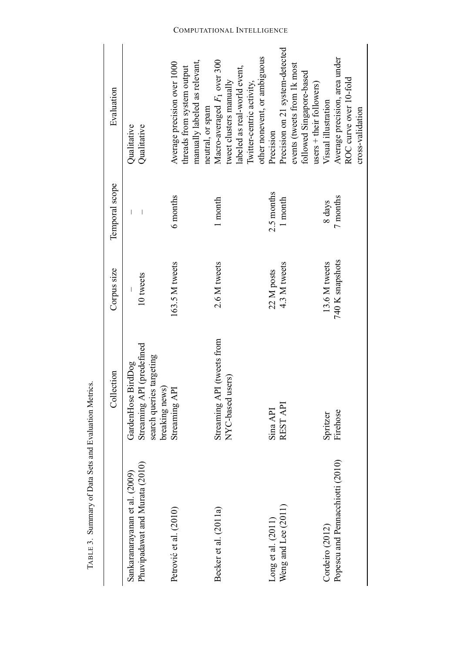|                                                                  | Collection                                                                  | Corpus size                      | Temporal scope           | Evaluation                                                                                                                                                          |
|------------------------------------------------------------------|-----------------------------------------------------------------------------|----------------------------------|--------------------------|---------------------------------------------------------------------------------------------------------------------------------------------------------------------|
| Phuvipadawat and Murata (2010)<br>Sankaranarayanan et al. (2009) | Streaming API (predefined<br>search queries targeting<br>GardenHose BirdDog | 10 tweets                        | $\overline{\phantom{a}}$ | Qualitative<br>Qualitative                                                                                                                                          |
| Petrović et al. (2010)                                           | breaking news)<br>Streaming API                                             | 163.5 M tweets                   | 6 months                 | manually labeled as relevant,<br>Average precision over 1000<br>threads from system output<br>neutral, or spam                                                      |
| Becker et al. (2011a)                                            | Streaming API (tweets from<br>NYC-based users)                              | 2.6 M tweets                     | l month                  | Macro-averaged F <sub>1</sub> over 300<br>labeled as real-world event,<br>tweet clusters manually<br>Twitter-centric activity,                                      |
| Weng and Lee (2011)<br>Long et al. $(2011)$                      | REST API<br>Sina API                                                        | 4.3 M tweets<br>22 M posts       | 2.5 months<br>1 month    | Precision on 21 system-detected<br>other nonevent, or ambiguous<br>events (tweets from 1k most<br>followed Singapore-based<br>$users + their follows)$<br>Precision |
| Popescu and Pennacchiotti (2010)<br>Cordeiro (2012)              | Firehose<br>Spritzer                                                        | 740 K snapshots<br>13.6 M tweets | 7 months<br>8 days       | Average precision, area under<br>ROC curve over 10-fold<br>Visual illustration<br>cross-validation                                                                  |

<span id="page-21-0"></span>TABLE 3. Summary of Data Sets and Evaluation Metrics. TABLE 3. Summary of Data Sets and Evaluation Metrics.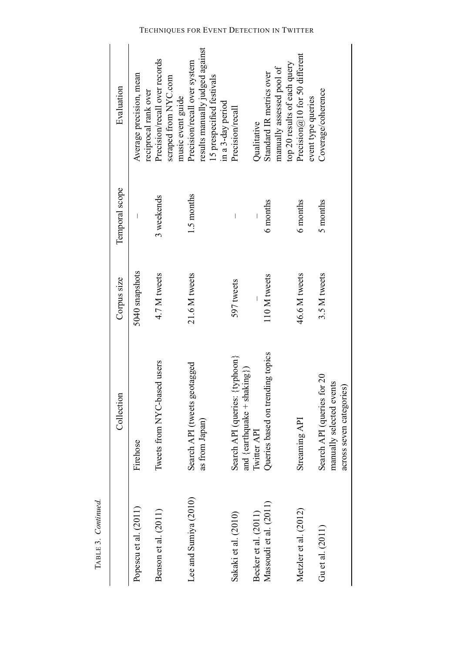|                        | Collection                                                                           | Corpus size    | Temporal scope           | Evaluation                                                                                                        |
|------------------------|--------------------------------------------------------------------------------------|----------------|--------------------------|-------------------------------------------------------------------------------------------------------------------|
| Popescu et al. (2011)  | Firehose                                                                             | 5040 snapshots | $\overline{\phantom{a}}$ | Average precision, mean<br>reciprocal rank over                                                                   |
| Benson et al. (2011)   | Tweets from NYC-based users                                                          | 4.7 M tweets   | 3 weekends               | Precision/recall over records<br>scraped from NYC.com<br>music event guide                                        |
| Lee and Sumiya (2010)  | Search API (tweets geotagged<br>as from Japan)                                       | 21.6 M tweets  | 1.5 months               | results manually judged against<br>Precision/recall over system<br>15 prespecified festivals<br>in a 3-day period |
| Sakaki et al. (2010)   | Search API (queries: {typhoon}<br>and $\{$ earthquake + shaking $\})$<br>Twitter API | 597 tweets     |                          | Precision/recall                                                                                                  |
| Becker et al. (2011)   |                                                                                      |                |                          | Qualitative                                                                                                       |
| Massoudi et al. (2011) | Queries based on trending topics                                                     | 110 M tweets   | 6 months                 | top 20 results of each query<br>manually assessed pool of<br>Standard IR metrics over                             |
| Metzler et al. (2012)  | Streaming API                                                                        | 46.6 M tweets  | 6 months                 | Precision@10 for 50 different<br>event type queries                                                               |
| Gu et al. (2011)       | Search API (queries for 20<br>manually selected events<br>across seven categories)   | 3.5 M tweets   | 5 months                 | Coverage/coherence                                                                                                |

TABLE 3. *Continued.*

TABLE 3. Continued.

TECHNIQUES FOR EVENT DETECTION IN TWITTER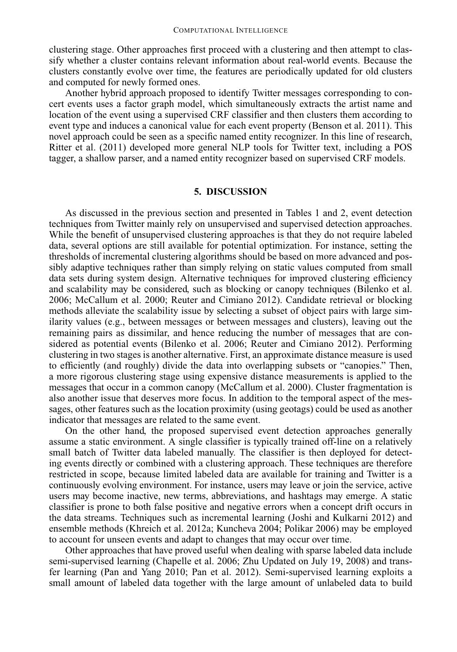clustering stage. Other approaches first proceed with a clustering and then attempt to classify whether a cluster contains relevant information about real-world events. Because the clusters constantly evolve over time, the features are periodically updated for old clusters and computed for newly formed ones.

Another hybrid approach proposed to identify Twitter messages corresponding to concert events uses a factor graph model, which simultaneously extracts the artist name and location of the event using a supervised CRF classifier and then clusters them according to event type and induces a canonical value for each event property [\(Benson et al. 2011\)](#page-26-4). This novel approach could be seen as a specific named entity recognizer. In this line of research, [Ritter et al. \(2011\)](#page-31-13) developed more general NLP tools for Twitter text, including a POS tagger, a shallow parser, and a named entity recognizer based on supervised CRF models.

### **5. DISCUSSION**

<span id="page-23-0"></span>As discussed in the previous section and presented in Tables [1](#page-3-0) and [2,](#page-4-0) event detection techniques from Twitter mainly rely on unsupervised and supervised detection approaches. While the benefit of unsupervised clustering approaches is that they do not require labeled data, several options are still available for potential optimization. For instance, setting the thresholds of incremental clustering algorithms should be based on more advanced and possibly adaptive techniques rather than simply relying on static values computed from small data sets during system design. Alternative techniques for improved clustering efficiency and [scalability may be considered, such as blocking or canopy techniques \(](#page-26-18)Bilenko et al. 2006; [McCallum et al. 2000;](#page-30-13) [Reuter and Cimiano 2012\)](#page-31-14). Candidate retrieval or blocking methods alleviate the scalability issue by selecting a subset of object pairs with large similarity values (e.g., between messages or between messages and clusters), leaving out the remaining pairs as dissimilar, and hence reducing the number of messages that are considered as potential events [\(Bilenko et al. 2006;](#page-26-18) [Reuter and Cimiano 2012\)](#page-31-14). Performing clustering in two stages is another alternative. First, an approximate distance measure is used to efficiently (and roughly) divide the data into overlapping subsets or "canopies." Then, a more rigorous clustering stage using expensive distance measurements is applied to the messages that occur in a common canopy [\(McCallum et al. 2000\)](#page-30-13). Cluster fragmentation is also another issue that deserves more focus. In addition to the temporal aspect of the messages, other features such as the location proximity (using geotags) could be used as another indicator that messages are related to the same event.

On the other hand, the proposed supervised event detection approaches generally assume a static environment. A single classifier is typically trained off-line on a relatively small batch of Twitter data labeled manually. The classifier is then deployed for detecting events directly or combined with a clustering approach. These techniques are therefore restricted in scope, because limited labeled data are available for training and Twitter is a continuously evolving environment. For instance, users may leave or join the service, active users may become inactive, new terms, abbreviations, and hashtags may emerge. A static classifier is prone to both false positive and negative errors when a concept drift occurs in the data streams. Techniques such as incremental learning [\(Joshi and Kulkarni 2012\)](#page-28-17) and ensemble methods [\(Khreich et al. 2012a;](#page-28-18) [Kuncheva 2004;](#page-29-16) [Polikar 2006\)](#page-31-15) may be employed to account for unseen events and adapt to changes that may occur over time.

Other approaches that have proved useful when dealing with sparse labeled data include semi-supervised learning [\(Chapelle et al. 2006;](#page-27-18) [Zhu Updated on July 19, 2008\)](#page-32-12) and transfer learning [\(Pan and Yang 2010;](#page-30-14) [Pan et al. 2012\)](#page-30-15). Semi-supervised learning exploits a small amount of labeled data together with the large amount of unlabeled data to build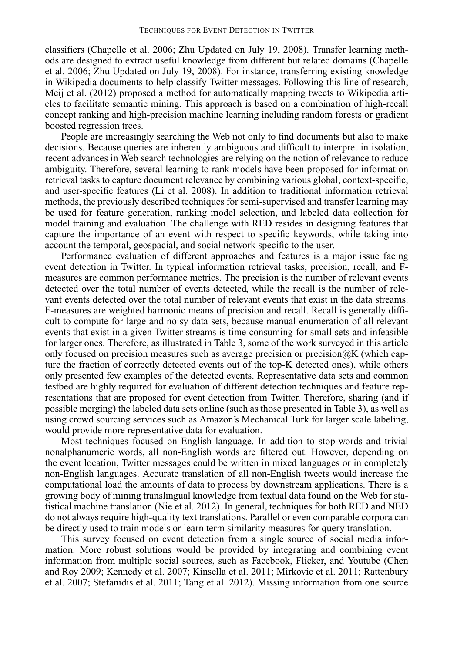classifiers [\(Chapelle et al. 2006;](#page-27-18) [Zhu Updated on July 19, 2008\)](#page-32-12). Transfer learning methods are designed to extract useful knowledge from different but related domains (Chapelle et al. 2006; [Zhu Updated on July 19, 2008\)](#page-32-12). For instance, transferring existing knowledge in Wikipedia documents to help classify Twitter messages. Following this line of research, [Meij et al. \(2012\)](#page-30-16) proposed a method for automatically mapping tweets to Wikipedia articles to facilitate semantic mining. This approach is based on a combination of high-recall concept ranking and high-precision machine learning including random forests or gradient boosted regression trees.

People are increasingly searching the Web not only to find documents but also to make decisions. Because queries are inherently ambiguous and difficult to interpret in isolation, recent advances in Web search technologies are relying on the notion of relevance to reduce ambiguity. Therefore, several learning to rank models have been proposed for information retrieval tasks to capture document relevance by combining various global, context-specific, and user-specific features [\(Li et al. 2008\)](#page-29-17). In addition to traditional information retrieval methods, the previously described techniques for semi-supervised and transfer learning may be used for feature generation, ranking model selection, and labeled data collection for model training and evaluation. The challenge with RED resides in designing features that capture the importance of an event with respect to specific keywords, while taking into account the temporal, geospacial, and social network specific to the user.

Performance evaluation of different approaches and features is a major issue facing event detection in Twitter. In typical information retrieval tasks, precision, recall, and Fmeasures are common performance metrics. The precision is the number of relevant events detected over the total number of events detected, while the recall is the number of relevant events detected over the total number of relevant events that exist in the data streams. F-measures are weighted harmonic means of precision and recall. Recall is generally difficult to compute for large and noisy data sets, because manual enumeration of all relevant events that exist in a given Twitter streams is time consuming for small sets and infeasible for larger ones. Therefore, as illustrated in Table [3,](#page-21-0) some of the work surveyed in this article only focused on precision measures such as average precision or precision  $QK$  (which capture the fraction of correctly detected events out of the top-K detected ones), while others only presented few examples of the detected events. Representative data sets and common testbed are highly required for evaluation of different detection techniques and feature representations that are proposed for event detection from Twitter. Therefore, sharing (and if possible merging) the labeled data sets online (such as those presented in Table [3\)](#page-21-0), as well as using crowd sourcing services such as Amazon's Mechanical Turk for larger scale labeling, would provide more representative data for evaluation.

Most techniques focused on English language. In addition to stop-words and trivial nonalphanumeric words, all non-English words are filtered out. However, depending on the event location, Twitter messages could be written in mixed languages or in completely non-English languages. Accurate translation of all non-English tweets would increase the computational load the amounts of data to process by downstream applications. There is a growing body of mining translingual knowledge from textual data found on the Web for statistical machine translation [\(Nie et al. 2012\)](#page-30-17). In general, techniques for both RED and NED do not always require high-quality text translations. Parallel or even comparable corpora can be directly used to train models or learn term similarity measures for query translation.

This survey focused on event detection from a single source of social media information. More robust solutions would be provided by integrating and combining event information from multiple social sources, such as Facebook, Flicker, and Youtube (Chen and Roy 2009; [Kennedy et al. 2007;](#page-28-19) [Kinsella et al. 2011;](#page-29-18) [Mirkovic et al. 2011;](#page-30-18) Rattenbury et al. 2007; [Stefanidis et al. 2011;](#page-32-13) [Tang et al. 2012\)](#page-32-14). Missing information from one source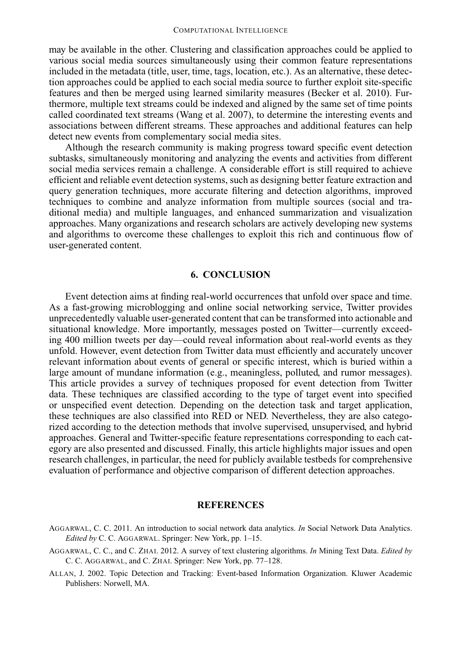may be available in the other. Clustering and classification approaches could be applied to various social media sources simultaneously using their common feature representations included in the metadata (title, user, time, tags, location, etc.). As an alternative, these detection approaches could be applied to each social media source to further exploit site-specific features and then be merged using learned similarity measures [\(Becker et al. 2010\)](#page-26-17). Furthermore, multiple text streams could be indexed and aligned by the same set of time points called coordinated text streams [\(Wang et al. 2007\)](#page-32-9), to determine the interesting events and associations between different streams. These approaches and additional features can help detect new events from complementary social media sites.

Although the research community is making progress toward specific event detection subtasks, simultaneously monitoring and analyzing the events and activities from different social media services remain a challenge. A considerable effort is still required to achieve efficient and reliable event detection systems, such as designing better feature extraction and query generation techniques, more accurate filtering and detection algorithms, improved techniques to combine and analyze information from multiple sources (social and traditional media) and multiple languages, and enhanced summarization and visualization approaches. Many organizations and research scholars are actively developing new systems and algorithms to overcome these challenges to exploit this rich and continuous flow of user-generated content.

## **6. CONCLUSION**

Event detection aims at finding real-world occurrences that unfold over space and time. As a fast-growing microblogging and online social networking service, Twitter provides unprecedentedly valuable user-generated content that can be transformed into actionable and situational knowledge. More importantly, messages posted on Twitter—currently exceeding 400 million tweets per day—could reveal information about real-world events as they unfold. However, event detection from Twitter data must efficiently and accurately uncover relevant information about events of general or specific interest, which is buried within a large amount of mundane information (e.g., meaningless, polluted, and rumor messages). This article provides a survey of techniques proposed for event detection from Twitter data. These techniques are classified according to the type of target event into specified or unspecified event detection. Depending on the detection task and target application, these techniques are also classified into RED or NED. Nevertheless, they are also categorized according to the detection methods that involve supervised, unsupervised, and hybrid approaches. General and Twitter-specific feature representations corresponding to each category are also presented and discussed. Finally, this article highlights major issues and open research challenges, in particular, the need for publicly available testbeds for comprehensive evaluation of performance and objective comparison of different detection approaches.

#### **REFERENCES**

- <span id="page-25-2"></span>AGGARWAL, C. C. 2011. An introduction to social network data analytics. *In* Social Network Data Analytics. *Edited by* C. C. AGGARWAL. Springer: New York, pp. 1–15.
- <span id="page-25-1"></span>AGGARWAL, C. C., and C. ZHAI. 2012. A survey of text clustering algorithms. *In* Mining Text Data. *Edited by* C. C. AGGARWAL, and C. ZHAI. Springer: New York, pp. 77–128.
- <span id="page-25-0"></span>ALLAN, J. 2002. Topic Detection and Tracking: Event-based Information Organization. Kluwer Academic Publishers: Norwell, MA.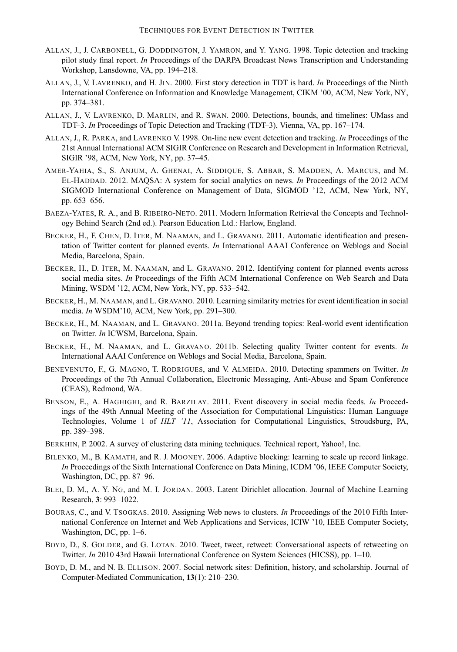- <span id="page-26-2"></span>ALLAN, J., J. CARBONELL, G. DODDINGTON, J. YAMRON, and Y. YANG. 1998. Topic detection and tracking pilot study final report. *In* Proceedings of the DARPA Broadcast News Transcription and Understanding Workshop, Lansdowne, VA, pp. 194–218.
- <span id="page-26-8"></span>ALLAN, J., V. LAVRENKO, and H. JIN. 2000. First story detection in TDT is hard. *In* Proceedings of the Ninth International Conference on Information and Knowledge Management, CIKM '00, ACM, New York, NY, pp. 374–381.
- <span id="page-26-9"></span>ALLAN, J., V. LAVRENKO, D. MARLIN, and R. SWAN. 2000. Detections, bounds, and timelines: UMass and TDT–3. *In* Proceedings of Topic Detection and Tracking (TDT–3), Vienna, VA, pp. 167–174.
- <span id="page-26-10"></span>ALLAN, J., R. PARKA, and LAVRENKO V. 1998. On-line new event detection and tracking. *In* Proceedings of the 21st Annual International ACM SIGIR Conference on Research and Development in Information Retrieval, SIGIR '98, ACM, New York, NY, pp. 37–45.
- <span id="page-26-1"></span>AMER-YAHIA, S., S. ANJUM, A. GHENAI, A. SIDDIQUE, S. ABBAR, S. MADDEN, A. MARCUS, and M. EL-HADDAD. 2012. MAQSA: A system for social analytics on news. *In* Proceedings of the 2012 ACM SIGMOD International Conference on Management of Data, SIGMOD '12, ACM, New York, NY, pp. 653–656.
- <span id="page-26-16"></span>BAEZA-YATES, R. A., and B. RIBEIRO-NETO. 2011. Modern Information Retrieval the Concepts and Technology Behind Search (2nd ed.). Pearson Education Ltd.: Harlow, England.
- <span id="page-26-5"></span>BECKER, H., F. CHEN, D. ITER, M. NAAMAN, and L. GRAVANO. 2011. Automatic identification and presentation of Twitter content for planned events. *In* International AAAI Conference on Weblogs and Social Media, Barcelona, Spain.
- <span id="page-26-15"></span>BECKER, H., D. ITER, M. NAAMAN, and L. GRAVANO. 2012. Identifying content for planned events across social media sites. *In* Proceedings of the Fifth ACM International Conference on Web Search and Data Mining, WSDM '12, ACM, New York, NY, pp. 533–542.
- <span id="page-26-17"></span>BECKER, H., M. NAAMAN, and L. GRAVANO. 2010. Learning similarity metrics for event identification in social media. *In* WSDM'10, ACM, New York, pp. 291–300.
- <span id="page-26-3"></span>BECKER, H., M. NAAMAN, and L. GRAVANO. 2011a. Beyond trending topics: Real-world event identification on Twitter. *In* ICWSM, Barcelona, Spain.
- <span id="page-26-13"></span>BECKER, H., M. NAAMAN, and L. GRAVANO. 2011b. Selecting quality Twitter content for events. *In* International AAAI Conference on Weblogs and Social Media, Barcelona, Spain.
- <span id="page-26-7"></span>BENEVENUTO, F., G. MAGNO, T. RODRIGUES, and V. ALMEIDA. 2010. Detecting spammers on Twitter. *In* Proceedings of the 7th Annual Collaboration, Electronic Messaging, Anti-Abuse and Spam Conference (CEAS), Redmond, WA.
- <span id="page-26-4"></span>BENSON, E., A. HAGHIGHI, and R. BARZILAY. 2011. Event discovery in social media feeds. *In* Proceedings of the 49th Annual Meeting of the Association for Computational Linguistics: Human Language Technologies, Volume 1 of *HLT '11*, Association for Computational Linguistics, Stroudsburg, PA, pp. 389–398.
- <span id="page-26-11"></span>BERKHIN, P. 2002. A survey of clustering data mining techniques. Technical report, Yahoo!, Inc.
- <span id="page-26-18"></span>BILENKO, M., B. KAMATH, and R. J. MOONEY. 2006. Adaptive blocking: learning to scale up record linkage. *In* Proceedings of the Sixth International Conference on Data Mining, ICDM '06, IEEE Computer Society, Washington, DC, pp. 87–96.
- <span id="page-26-14"></span>BLEI, D. M., A. Y. NG, and M. I. JORDAN. 2003. Latent Dirichlet allocation. Journal of Machine Learning Research, **3**: 993–1022.
- <span id="page-26-12"></span>BOURAS, C., and V. TSOGKAS. 2010. Assigning Web news to clusters. *In* Proceedings of the 2010 Fifth International Conference on Internet and Web Applications and Services, ICIW '10, IEEE Computer Society, Washington, DC, pp. 1–6.
- <span id="page-26-6"></span>BOYD, D., S. GOLDER, and G. LOTAN. 2010. Tweet, tweet, retweet: Conversational aspects of retweeting on Twitter. *In* 2010 43rd Hawaii International Conference on System Sciences (HICSS), pp. 1–10.
- <span id="page-26-0"></span>BOYD, D. M., and N. B. ELLISON. 2007. Social network sites: Definition, history, and scholarship. Journal of Computer-Mediated Communication, **13**(1): 210–230.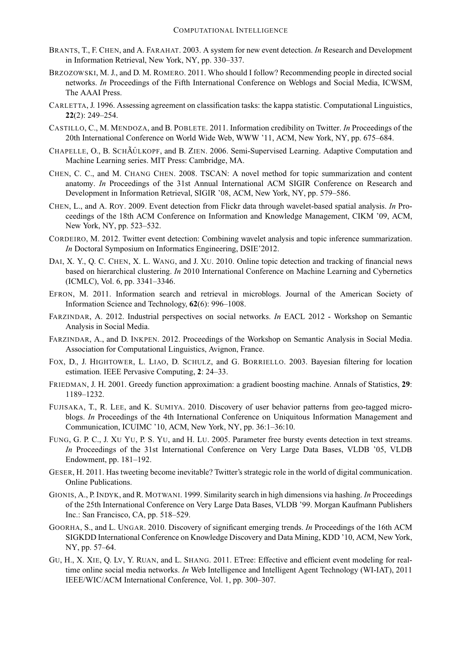- <span id="page-27-7"></span>BRANTS, T., F. CHEN, and A. FARAHAT. 2003. A system for new event detection. *In* Research and Development in Information Retrieval, New York, NY, pp. 330–337.
- <span id="page-27-4"></span>BRZOZOWSKI, M. J., and D. M. ROMERO. 2011. Who should I follow? Recommending people in directed social networks. *In* Proceedings of the Fifth International Conference on Weblogs and Social Media, ICWSM, The AAAI Press.
- <span id="page-27-17"></span>CARLETTA, J. 1996. Assessing agreement on classification tasks: the kappa statistic. Computational Linguistics, **22**(2): 249–254.
- <span id="page-27-3"></span>CASTILLO, C., M. MENDOZA, and B. POBLETE. 2011. Information credibility on Twitter. *In* Proceedings of the 20th International Conference on World Wide Web, WWW '11, ACM, New York, NY, pp. 675–684.
- <span id="page-27-18"></span>CHAPELLE, O., B. SCHÃŰLKOPF, and B. ZIEN. 2006. Semi-Supervised Learning. Adaptive Computation and Machine Learning series. MIT Press: Cambridge, MA.
- <span id="page-27-15"></span>CHEN, C. C., and M. CHANG CHEN. 2008. TSCAN: A novel method for topic summarization and content anatomy. *In* Proceedings of the 31st Annual International ACM SIGIR Conference on Research and Development in Information Retrieval, SIGIR '08, ACM, New York, NY, pp. 579–586.
- CHEN, L., and A. ROY. 2009. Event detection from Flickr data through wavelet-based spatial analysis. *In* Proceedings of the 18th ACM Conference on Information and Knowledge Management, CIKM '09, ACM, New York, NY, pp. 523–532.
- <span id="page-27-5"></span>CORDEIRO, M. 2012. Twitter event detection: Combining wavelet analysis and topic inference summarization. *In* Doctoral Symposium on Informatics Engineering, DSIE'2012.
- <span id="page-27-8"></span>DAI, X. Y., Q. C. CHEN, X. L. WANG, and J. XU. 2010. Online topic detection and tracking of financial news based on hierarchical clustering. *In* 2010 International Conference on Machine Learning and Cybernetics (ICMLC), Vol. 6, pp. 3341–3346.
- <span id="page-27-16"></span>EFRON, M. 2011. Information search and retrieval in microblogs. Journal of the American Society of Information Science and Technology, **62**(6): 996–1008.
- <span id="page-27-2"></span>FARZINDAR, A. 2012. Industrial perspectives on social networks. *In* EACL 2012 - Workshop on Semantic Analysis in Social Media.
- <span id="page-27-0"></span>FARZINDAR, A., and D. INKPEN. 2012. Proceedings of the Workshop on Semantic Analysis in Social Media. Association for Computational Linguistics, Avignon, France.
- <span id="page-27-14"></span>FOX, D., J. HIGHTOWER, L. LIAO, D. SCHULZ, and G. BORRIELLO. 2003. Bayesian filtering for location estimation. IEEE Pervasive Computing, **2**: 24–33.
- <span id="page-27-12"></span>FRIEDMAN, J. H. 2001. Greedy function approximation: a gradient boosting machine. Annals of Statistics, **29**: 1189–1232.
- <span id="page-27-13"></span>FUJISAKA, T., R. LEE, and K. SUMIYA. 2010. Discovery of user behavior patterns from geo-tagged microblogs. *In* Proceedings of the 4th International Conference on Uniquitous Information Management and Communication, ICUIMC '10, ACM, New York, NY, pp. 36:1–36:10.
- <span id="page-27-9"></span>FUNG, G. P. C., J. XU YU, P. S. YU, and H. LU. 2005. Parameter free bursty events detection in text streams. *In* Proceedings of the 31st International Conference on Very Large Data Bases, VLDB '05, VLDB Endowment, pp. 181–192.
- <span id="page-27-1"></span>GESER, H. 2011. Has tweeting become inevitable? Twitter's strategic role in the world of digital communication. Online Publications.
- <span id="page-27-11"></span>GIONIS, A., P. INDYK, and R. MOTWANI. 1999. Similarity search in high dimensions via hashing. *In* Proceedings of the 25th International Conference on Very Large Data Bases, VLDB '99. Morgan Kaufmann Publishers Inc.: San Francisco, CA, pp. 518–529.
- <span id="page-27-10"></span>GOORHA, S., and L. UNGAR. 2010. Discovery of significant emerging trends. *In* Proceedings of the 16th ACM SIGKDD International Conference on Knowledge Discovery and Data Mining, KDD '10, ACM, New York, NY, pp. 57–64.
- <span id="page-27-6"></span>GU, H., X. XIE, Q. LV, Y. RUAN, and L. SHANG. 2011. ETree: Effective and efficient event modeling for realtime online social media networks. *In* Web Intelligence and Intelligent Agent Technology (WI-IAT), 2011 IEEE/WIC/ACM International Conference, Vol. 1, pp. 300–307.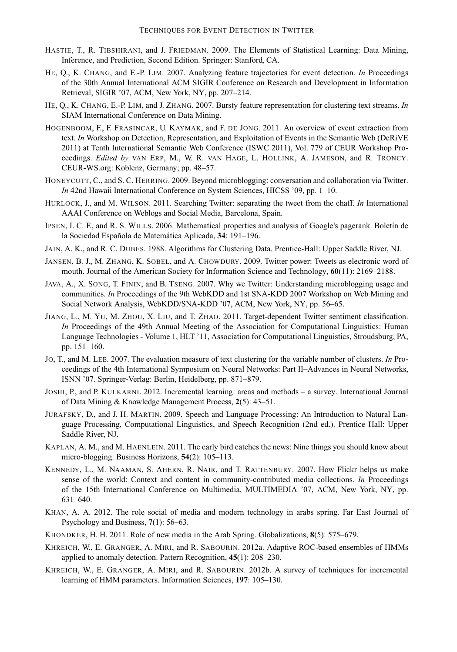- <span id="page-28-12"></span>HASTIE, T., R. TIBSHIRANI, and J. FRIEDMAN. 2009. The Elements of Statistical Learning: Data Mining, Inference, and Prediction, Second Edition. Springer: Stanford, CA.
- <span id="page-28-10"></span>HE, Q., K. CHANG, and E.-P. LIM. 2007. Analyzing feature trajectories for event detection. *In* Proceedings of the 30th Annual International ACM SIGIR Conference on Research and Development in Information Retrieval, SIGIR '07, ACM, New York, NY, pp. 207–214.
- <span id="page-28-11"></span>HE, Q., K. CHANG, E.-P. LIM, and J. ZHANG. 2007. Bursty feature representation for clustering text streams. *In* SIAM International Conference on Data Mining.
- <span id="page-28-14"></span>HOGENBOOM, F., F. FRASINCAR, U. KAYMAK, and F. DE JONG. 2011. An overview of event extraction from text. *In* Workshop on Detection, Representation, and Exploitation of Events in the Semantic Web (DeRiVE 2011) at Tenth International Semantic Web Conference (ISWC 2011), Vol. 779 of CEUR Workshop Proceedings. *Edited by* VAN ERP, M., W. R. VAN HAGE, L. HOLLINK, A. JAMESON, and R. TRONCY. CEUR-WS.org: Koblenz, Germany; pp. 48–57.
- <span id="page-28-4"></span>HONEYCUTT, C., and S. C. HERRING. 2009. Beyond microblogging: conversation and collaboration via Twitter. *In* 42nd Hawaii International Conference on System Sciences, HICSS '09, pp. 1–10.
- <span id="page-28-1"></span>HURLOCK, J., and M. WILSON. 2011. Searching Twitter: separating the tweet from the chaff. *In* International AAAI Conference on Weblogs and Social Media, Barcelona, Spain.
- <span id="page-28-15"></span>IPSEN, I. C. F., and R. S. WILLS. 2006. Mathematical properties and analysis of Google's pagerank. Boletín de la Sociedad Española de Matemática Aplicada, **34**: 191–196.
- <span id="page-28-9"></span>JAIN, A. K., and R. C. DUBES. 1988. Algorithms for Clustering Data. Prentice-Hall: Upper Saddle River, NJ.
- <span id="page-28-2"></span>JANSEN, B. J., M. ZHANG, K. SOBEL, and A. CHOWDURY. 2009. Twitter power: Tweets as electronic word of mouth. Journal of the American Society for Information Science and Technology, **60**(11): 2169–2188.
- <span id="page-28-0"></span>JAVA, A., X. SONG, T. FININ, and B. TSENG. 2007. Why we Twitter: Understanding microblogging usage and communities. *In* Proceedings of the 9th WebKDD and 1st SNA-KDD 2007 Workshop on Web Mining and Social Network Analysis, WebKDD/SNA-KDD '07, ACM, New York, NY, pp. 56–65.
- <span id="page-28-3"></span>JIANG, L., M. YU, M. ZHOU, X. LIU, and T. ZHAO. 2011. Target-dependent Twitter sentiment classification. *In* Proceedings of the 49th Annual Meeting of the Association for Computational Linguistics: Human Language Technologies - Volume 1, HLT '11, Association for Computational Linguistics, Stroudsburg, PA, pp. 151–160.
- <span id="page-28-8"></span>JO, T., and M. LEE. 2007. The evaluation measure of text clustering for the variable number of clusters. *In* Proceedings of the 4th International Symposium on Neural Networks: Part II–Advances in Neural Networks, ISNN '07. Springer-Verlag: Berlin, Heidelberg, pp. 871–879.
- <span id="page-28-17"></span>JOSHI, P., and P. KULKARNI. 2012. Incremental learning: areas and methods – a survey. International Journal of Data Mining & Knowledge Management Process, **2**(5): 43–51.
- <span id="page-28-13"></span>JURAFSKY, D., and J. H. MARTIN. 2009. Speech and Language Processing: An Introduction to Natural Language Processing, Computational Linguistics, and Speech Recognition (2nd ed.). Prentice Hall: Upper Saddle River, NJ.
- <span id="page-28-7"></span>KAPLAN, A. M., and M. HAENLEIN. 2011. The early bird catches the news: Nine things you should know about micro-blogging. Business Horizons, **54**(2): 105–113.
- <span id="page-28-19"></span>KENNEDY, L., M. NAAMAN, S. AHERN, R. NAIR, and T. RATTENBURY. 2007. How Flickr helps us make sense of the world: Context and content in community-contributed media collections. *In* Proceedings of the 15th International Conference on Multimedia, MULTIMEDIA '07, ACM, New York, NY, pp. 631–640.
- <span id="page-28-6"></span>KHAN, A. A. 2012. The role social of media and modern technology in arabs spring. Far East Journal of Psychology and Business, **7**(1): 56–63.
- <span id="page-28-5"></span>KHONDKER, H. H. 2011. Role of new media in the Arab Spring. Globalizations, **8**(5): 575–679.
- <span id="page-28-18"></span>KHREICH, W., E. GRANGER, A. MIRI, and R. SABOURIN. 2012a. Adaptive ROC-based ensembles of HMMs applied to anomaly detection. Pattern Recognition, **45**(1): 208–230.
- <span id="page-28-16"></span>KHREICH, W., E. GRANGER, A. MIRI, and R. SABOURIN. 2012b. A survey of techniques for incremental learning of HMM parameters. Information Sciences, **197**: 105–130.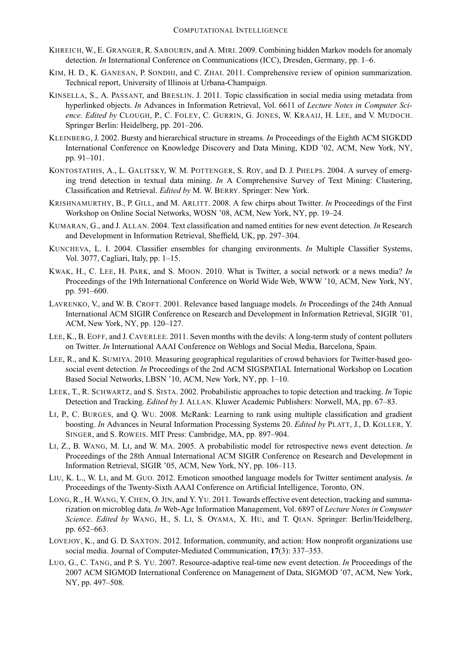- <span id="page-29-14"></span>KHREICH, W., E. GRANGER, R. SABOURIN, and A. MIRI. 2009. Combining hidden Markov models for anomaly detection. *In* International Conference on Communications (ICC), Dresden, Germany, pp. 1–6.
- <span id="page-29-15"></span>KIM, H. D., K. GANESAN, P. SONDHI, and C. ZHAI. 2011. Comprehensive review of opinion summarization. Technical report, University of Illinois at Urbana-Champaign.
- <span id="page-29-18"></span>KINSELLA, S., A. PASSANT, and BRESLIN. J. 2011. Topic classification in social media using metadata from hyperlinked objects. *In* Advances in Information Retrieval, Vol. 6611 of *Lecture Notes in Computer Science*. *Edited by* CLOUGH, P., C. FOLEY, C. GURRIN, G. JONES, W. KRAAIJ, H. LEE, and V. MUDOCH. Springer Berlin: Heidelberg, pp. 201–206.
- <span id="page-29-12"></span>KLEINBERG, J. 2002. Bursty and hierarchical structure in streams. *In* Proceedings of the Eighth ACM SIGKDD International Conference on Knowledge Discovery and Data Mining, KDD '02, ACM, New York, NY, pp. 91–101.
- <span id="page-29-11"></span>KONTOSTATHIS, A., L. GALITSKY, W. M. POTTENGER, S. ROY, and D. J. PHELPS. 2004. A survey of emerging trend detection in textual data mining. *In* A Comprehensive Survey of Text Mining: Clustering, Classification and Retrieval. *Edited by* M. W. BERRY. Springer: New York.
- <span id="page-29-0"></span>KRISHNAMURTHY, B., P. GILL, and M. ARLITT. 2008. A few chirps about Twitter. *In* Proceedings of the First Workshop on Online Social Networks, WOSN '08, ACM, New York, NY, pp. 19–24.
- <span id="page-29-7"></span>KUMARAN, G., and J. ALLAN. 2004. Text classification and named entities for new event detection. *In* Research and Development in Information Retrieval, Sheffield, UK, pp. 297–304.
- <span id="page-29-16"></span>KUNCHEVA, L. I. 2004. Classifier ensembles for changing environments. *In* Multiple Classifier Systems, Vol. 3077, Cagliari, Italy, pp. 1–15.
- <span id="page-29-1"></span>KWAK, H., C. LEE, H. PARK, and S. MOON. 2010. What is Twitter, a social network or a news media? *In* Proceedings of the 19th International Conference on World Wide Web, WWW '10, ACM, New York, NY, pp. 591–600.
- <span id="page-29-13"></span>LAVRENKO, V., and W. B. CROFT. 2001. Relevance based language models. *In* Proceedings of the 24th Annual International ACM SIGIR Conference on Research and Development in Information Retrieval, SIGIR '01, ACM, New York, NY, pp. 120–127.
- <span id="page-29-3"></span>LEE, K., B. EOFF, and J. CAVERLEE. 2011. Seven months with the devils: A long-term study of content polluters on Twitter. *In* International AAAI Conference on Weblogs and Social Media, Barcelona, Spain.
- <span id="page-29-5"></span>LEE, R., and K. SUMIYA. 2010. Measuring geographical regularities of crowd behaviors for Twitter-based geosocial event detection. *In* Proceedings of the 2nd ACM SIGSPATIAL International Workshop on Location Based Social Networks, LBSN '10, ACM, New York, NY, pp. 1–10.
- <span id="page-29-8"></span>LEEK, T., R. SCHWARTZ, and S. SISTA. 2002. Probabilistic approaches to topic detection and tracking. *In* Topic Detection and Tracking. *Edited by* J. ALLAN. Kluwer Academic Publishers: Norwell, MA, pp. 67–83.
- <span id="page-29-17"></span>LI, P., C. BURGES, and Q. WU. 2008. McRank: Learning to rank using multiple classification and gradient boosting. *In* Advances in Neural Information Processing Systems 20. *Edited by* PLATT, J., D. KOLLER, Y. SINGER, and S. ROWEIS. MIT Press: Cambridge, MA, pp. 897–904.
- <span id="page-29-9"></span>LI, Z., B. WANG, M. LI, and W. MA. 2005. A probabilistic model for retrospective news event detection. *In* Proceedings of the 28th Annual International ACM SIGIR Conference on Research and Development in Information Retrieval, SIGIR '05, ACM, New York, NY, pp. 106–113.
- <span id="page-29-2"></span>LIU, K. L., W. LI, and M. GUO. 2012. Emoticon smoothed language models for Twitter sentiment analysis. *In* Proceedings of the Twenty-Sixth AAAI Conference on Artificial Intelligence, Toronto, ON.
- <span id="page-29-4"></span>LONG, R., H. WANG, Y. CHEN, O. JIN, and Y. YU. 2011. Towards effective event detection, tracking and summarization on microblog data. *In* Web-Age Information Management, Vol. 6897 of *Lecture Notes in Computer Science*. *Edited by* WANG, H., S. LI, S. OYAMA, X. HU, and T. QIAN. Springer: Berlin/Heidelberg, pp. 652–663.
- <span id="page-29-6"></span>LOVEJOY, K., and G. D. SAXTON. 2012. Information, community, and action: How nonprofit organizations use social media. Journal of Computer-Mediated Communication, **17**(3): 337–353.
- <span id="page-29-10"></span>LUO, G., C. TANG, and P. S. YU. 2007. Resource-adaptive real-time new event detection. *In* Proceedings of the 2007 ACM SIGMOD International Conference on Management of Data, SIGMOD '07, ACM, New York, NY, pp. 497–508.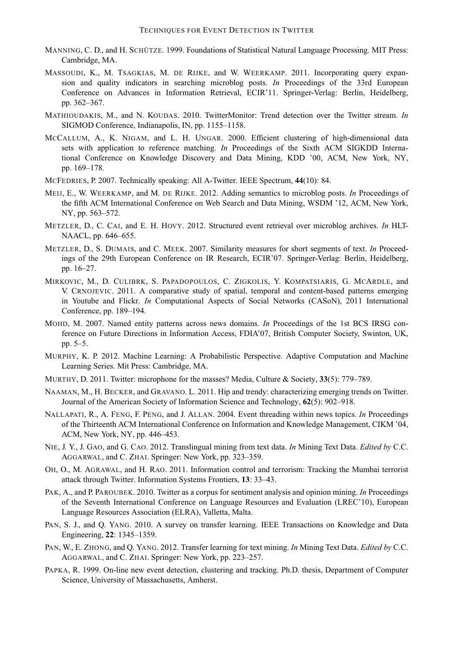- MANNING, C. D., and H. SCHÜTZE. 1999. Foundations of Statistical Natural Language Processing. MIT Press: Cambridge, MA.
- <span id="page-30-2"></span>MASSOUDI, K., M. TSAGKIAS, M. DE RIJKE, and W. WEERKAMP. 2011. Incorporating query expansion and quality indicators in searching microblog posts. *In* Proceedings of the 33rd European Conference on Advances in Information Retrieval, ECIR'11. Springer-Verlag: Berlin, Heidelberg, pp. 362–367.
- <span id="page-30-10"></span>MATHIOUDAKIS, M., and N. KOUDAS. 2010. TwitterMonitor: Trend detection over the Twitter stream. *In* SIGMOD Conference, Indianapolis, IN, pp. 1155–1158.
- <span id="page-30-13"></span>MCCALLUM, A., K. NIGAM, and L. H. UNGAR. 2000. Efficient clustering of high-dimensional data sets with application to reference matching. *In* Proceedings of the Sixth ACM SIGKDD International Conference on Knowledge Discovery and Data Mining, KDD '00, ACM, New York, NY, pp. 169–178.
- <span id="page-30-0"></span>MCFEDRIES, P. 2007. Technically speaking: All A-Twitter. IEEE Spectrum, **44**(10): 84.
- <span id="page-30-16"></span>MEIJ, E., W. WEERKAMP, and M. DE RIJKE. 2012. Adding semantics to microblog posts. *In* Proceedings of the fifth ACM International Conference on Web Search and Data Mining, WSDM '12, ACM, New York, NY, pp. 563–572.
- <span id="page-30-3"></span>METZLER, D., C. CAI, and E. H. HOVY. 2012. Structured event retrieval over microblog archives. *In* HLT-NAACL, pp. 646–655.
- <span id="page-30-6"></span>METZLER, D., S. DUMAIS, and C. MEEK. 2007. Similarity measures for short segments of text. *In* Proceedings of the 29th European Conference on IR Research, ECIR'07. Springer-Verlag: Berlin, Heidelberg, pp. 16–27.
- <span id="page-30-18"></span>MIRKOVIC, M., D. CULIBRK, S. PAPADOPOULOS, C. ZIGKOLIS, Y. KOMPATSIARIS, G. MCARDLE, and V. CRNOJEVIC. 2011. A comparative study of spatial, temporal and content-based patterns emerging in Youtube and Flickr. *In* Computational Aspects of Social Networks (CASoN), 2011 International Conference, pp. 189–194.
- <span id="page-30-8"></span>MOHD, M. 2007. Named entity patterns across news domains. *In* Proceedings of the 1st BCS IRSG conference on Future Directions in Information Access, FDIA'07, British Computer Society, Swinton, UK, pp. 5–5.
- <span id="page-30-12"></span>MURPHY, K. P. 2012. Machine Learning: A Probabilistic Perspective. Adaptive Computation and Machine Learning Series. Mit Press: Cambridge, MA.
- <span id="page-30-4"></span>MURTHY, D. 2011. Twitter: microphone for the masses? Media, Culture & Society, **33**(5): 779–789.
- <span id="page-30-11"></span>NAAMAN, M., H. BECKER, and GRAVANO. L. 2011. Hip and trendy: characterizing emerging trends on Twitter. Journal of the American Society of Information Science and Technology, **62**(5): 902–918.
- <span id="page-30-7"></span>NALLAPATI, R., A. FENG, F. PENG, and J. ALLAN. 2004. Event threading within news topics. *In* Proceedings of the Thirteenth ACM International Conference on Information and Knowledge Management, CIKM '04, ACM, New York, NY, pp. 446–453.
- <span id="page-30-17"></span>NIE, J. Y., J. GAO, and G. CAO. 2012. Translingual mining from text data. *In* Mining Text Data. *Edited by* C.C. AGGARWAL, and C. ZHAI. Springer: New York, pp. 323–359.
- <span id="page-30-5"></span>OH, O., M. AGRAWAL, and H. RAO. 2011. Information control and terrorism: Tracking the Mumbai terrorist attack through Twitter. Information Systems Frontiers, **13**: 33–43.
- <span id="page-30-1"></span>PAK, A., and P. PAROUBEK. 2010. Twitter as a corpus for sentiment analysis and opinion mining. *In* Proceedings of the Seventh International Conference on Language Resources and Evaluation (LREC'10), European Language Resources Association (ELRA), Valletta, Malta.
- <span id="page-30-14"></span>PAN, S. J., and Q. YANG. 2010. A survey on transfer learning. IEEE Transactions on Knowledge and Data Engineering, **22**: 1345–1359.
- <span id="page-30-15"></span>PAN, W., E. ZHONG, and Q. YANG. 2012. Transfer learning for text mining. *In* Mining Text Data. *Edited by* C.C. AGGARWAL, and C. ZHAI. Springer: New York, pp. 223–257.
- <span id="page-30-9"></span>PAPKA, R. 1999. On-line new event detection, clustering and tracking. Ph.D. thesis, Department of Computer Science, University of Massachusetts, Amherst.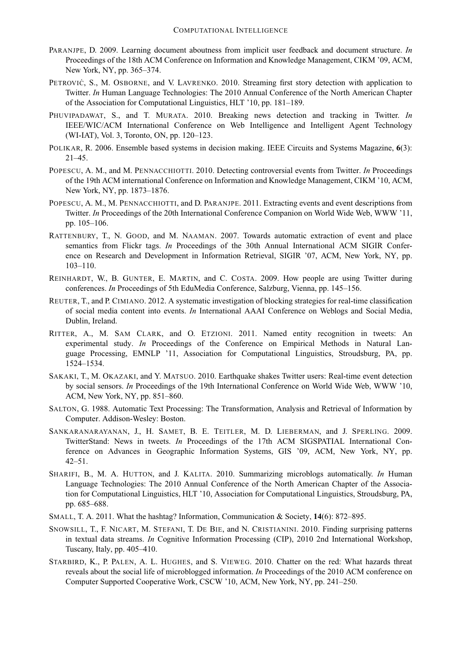- <span id="page-31-11"></span>PARANJPE, D. 2009. Learning document aboutness from implicit user feedback and document structure. *In* Proceedings of the 18th ACM Conference on Information and Knowledge Management, CIKM '09, ACM, New York, NY, pp. 365–374.
- <span id="page-31-3"></span>PETROVIĆ, S., M. OSBORNE, and V. LAVRENKO. 2010. Streaming first story detection with application to Twitter. *In* Human Language Technologies: The 2010 Annual Conference of the North American Chapter of the Association for Computational Linguistics, HLT '10, pp. 181–189.
- <span id="page-31-0"></span>PHUVIPADAWAT, S., and T. MURATA. 2010. Breaking news detection and tracking in Twitter. *In* IEEE/WIC/ACM International Conference on Web Intelligence and Intelligent Agent Technology (WI-IAT), Vol. 3, Toronto, ON, pp. 120–123.
- <span id="page-31-15"></span>POLIKAR, R. 2006. Ensemble based systems in decision making. IEEE Circuits and Systems Magazine, **6**(3): 21–45.
- <span id="page-31-4"></span>POPESCU, A. M., and M. PENNACCHIOTTI. 2010. Detecting controversial events from Twitter. *In* Proceedings of the 19th ACM international Conference on Information and Knowledge Management, CIKM '10, ACM, New York, NY, pp. 1873–1876.
- <span id="page-31-5"></span>POPESCU, A. M., M. PENNACCHIOTTI, and D. PARANJPE. 2011. Extracting events and event descriptions from Twitter. *In* Proceedings of the 20th International Conference Companion on World Wide Web, WWW '11, pp. 105–106.
- RATTENBURY, T., N. GOOD, and M. NAAMAN. 2007. Towards automatic extraction of event and place semantics from Flickr tags. *In* Proceedings of the 30th Annual International ACM SIGIR Conference on Research and Development in Information Retrieval, SIGIR '07, ACM, New York, NY, pp. 103–110.
- <span id="page-31-8"></span>REINHARDT, W., B. GUNTER, E. MARTIN, and C. COSTA. 2009. How people are using Twitter during conferences. *In* Proceedings of 5th EduMedia Conference, Salzburg, Vienna, pp. 145–156.
- <span id="page-31-14"></span>REUTER, T., and P. CIMIANO. 2012. A systematic investigation of blocking strategies for real-time classification of social media content into events. *In* International AAAI Conference on Weblogs and Social Media, Dublin, Ireland.
- <span id="page-31-13"></span>RITTER, A., M. SAM CLARK, and O. ETZIONI. 2011. Named entity recognition in tweets: An experimental study. *In* Proceedings of the Conference on Empirical Methods in Natural Language Processing, EMNLP '11, Association for Computational Linguistics, Stroudsburg, PA, pp. 1524–1534.
- <span id="page-31-6"></span>SAKAKI, T., M. OKAZAKI, and Y. MATSUO. 2010. Earthquake shakes Twitter users: Real-time event detection by social sensors. *In* Proceedings of the 19th International Conference on World Wide Web, WWW '10, ACM, New York, NY, pp. 851–860.
- <span id="page-31-9"></span>SALTON, G. 1988. Automatic Text Processing: The Transformation, Analysis and Retrieval of Information by Computer. Addison-Wesley: Boston.
- <span id="page-31-1"></span>SANKARANARAYANAN, J., H. SAMET, B. E. TEITLER, M. D. LIEBERMAN, and J. SPERLING. 2009. TwitterStand: News in tweets. *In* Proceedings of the 17th ACM SIGSPATIAL International Conference on Advances in Geographic Information Systems, GIS '09, ACM, New York, NY, pp. 42–51.
- <span id="page-31-12"></span>SHARIFI, B., M. A. HUTTON, and J. KALITA. 2010. Summarizing microblogs automatically. *In* Human Language Technologies: The 2010 Annual Conference of the North American Chapter of the Association for Computational Linguistics, HLT '10, Association for Computational Linguistics, Stroudsburg, PA, pp. 685–688.
- <span id="page-31-2"></span>SMALL, T. A. 2011. What the hashtag? Information, Communication & Society, **14**(6): 872–895.
- <span id="page-31-10"></span>SNOWSILL, T., F. NICART, M. STEFANI, T. DE BIE, and N. CRISTIANINI. 2010. Finding surprising patterns in textual data streams. *In* Cognitive Information Processing (CIP), 2010 2nd International Workshop, Tuscany, Italy, pp. 405–410.
- <span id="page-31-7"></span>STARBIRD, K., P. PALEN, A. L. HUGHES, and S. VIEWEG. 2010. Chatter on the red: What hazards threat reveals about the social life of microblogged information. *In* Proceedings of the 2010 ACM conference on Computer Supported Cooperative Work, CSCW '10, ACM, New York, NY, pp. 241–250.